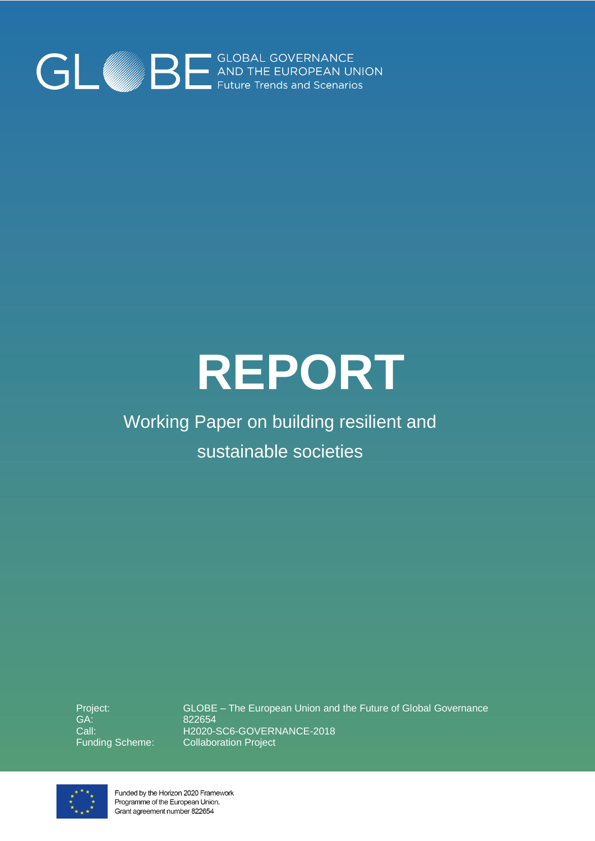

# **REPORT**

# Working Paper on building resilient and sustainable societies

Project: GA: Call: Funding Scheme:

GLOBE – The European Union and the Future of Global Governance 822654 H2020-SC6-GOVERNANCE-2018 Collaboration Project



Funded by the Horizon 2020 Framework Programme of the European Union. Grant agreement number 822654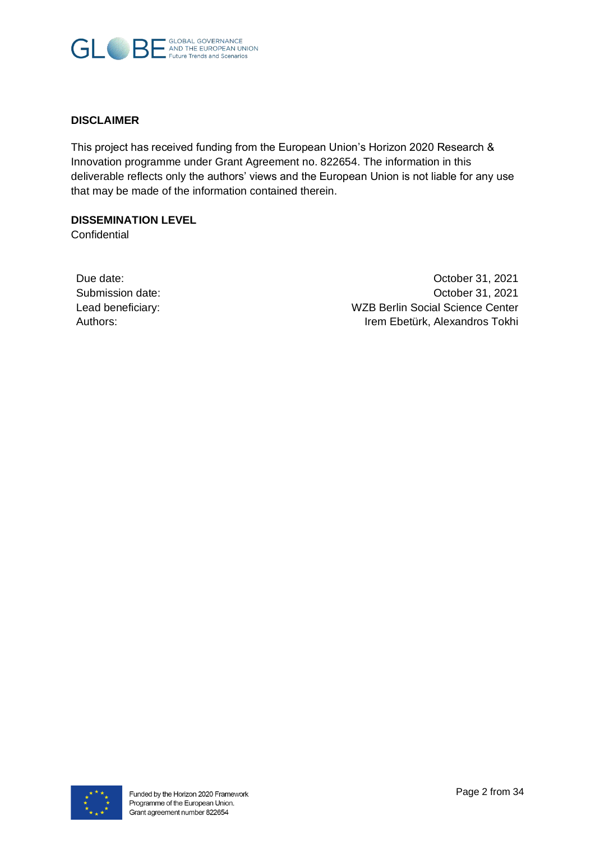

#### **DISCLAIMER**

This project has received funding from the European Union's Horizon 2020 Research & Innovation programme under Grant Agreement no. 822654. The information in this deliverable reflects only the authors' views and the European Union is not liable for any use that may be made of the information contained therein.

#### **DISSEMINATION LEVEL**

**Confidential** 

| Due date:         |
|-------------------|
| Submission date:  |
| Lead beneficiary: |
| Authors:          |

October 31, 2021 October 31, 2021 WZB Berlin Social Science Center Irem Ebetürk, Alexandros Tokhi

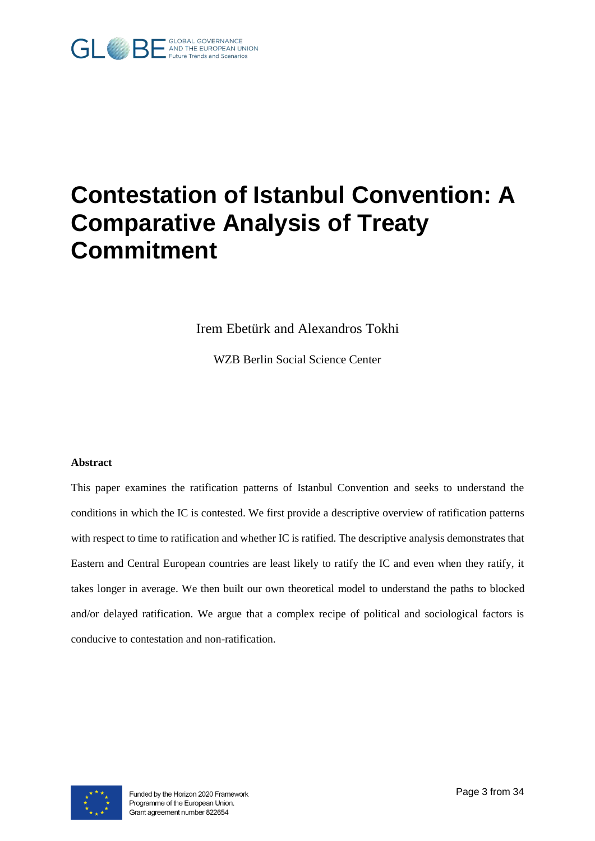

# **Contestation of Istanbul Convention: A Comparative Analysis of Treaty Commitment**

Irem Ebetürk and Alexandros Tokhi

WZB Berlin Social Science Center

#### **Abstract**

This paper examines the ratification patterns of Istanbul Convention and seeks to understand the conditions in which the IC is contested. We first provide a descriptive overview of ratification patterns with respect to time to ratification and whether IC is ratified. The descriptive analysis demonstrates that Eastern and Central European countries are least likely to ratify the IC and even when they ratify, it takes longer in average. We then built our own theoretical model to understand the paths to blocked and/or delayed ratification. We argue that a complex recipe of political and sociological factors is conducive to contestation and non-ratification.

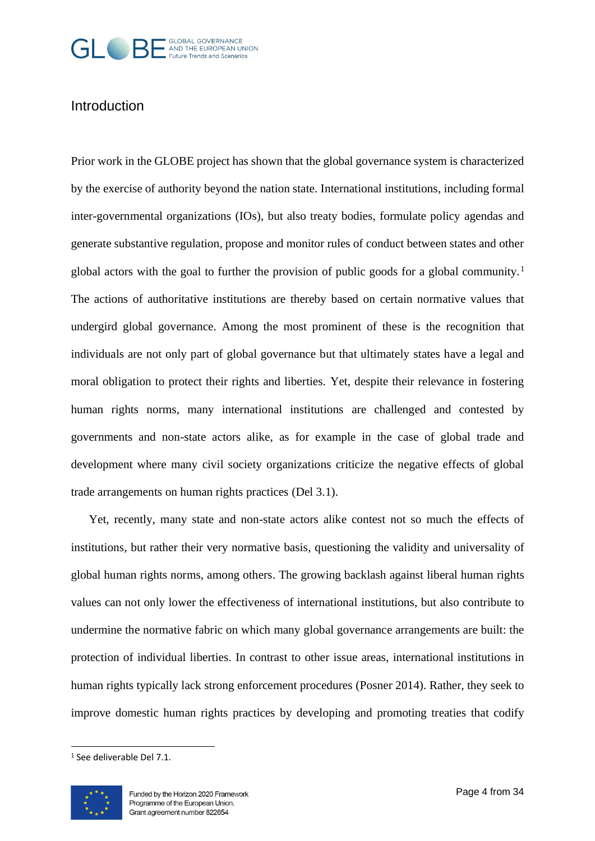

### Introduction

Prior work in the GLOBE project has shown that the global governance system is characterized by the exercise of authority beyond the nation state. International institutions, including formal inter-governmental organizations (IOs), but also treaty bodies, formulate policy agendas and generate substantive regulation, propose and monitor rules of conduct between states and other global actors with the goal to further the provision of public goods for a global community.<sup>1</sup> The actions of authoritative institutions are thereby based on certain normative values that undergird global governance. Among the most prominent of these is the recognition that individuals are not only part of global governance but that ultimately states have a legal and moral obligation to protect their rights and liberties. Yet, despite their relevance in fostering human rights norms, many international institutions are challenged and contested by governments and non-state actors alike, as for example in the case of global trade and development where many civil society organizations criticize the negative effects of global trade arrangements on human rights practices (Del 3.1).

Yet, recently, many state and non-state actors alike contest not so much the effects of institutions, but rather their very normative basis, questioning the validity and universality of global human rights norms, among others. The growing backlash against liberal human rights values can not only lower the effectiveness of international institutions, but also contribute to undermine the normative fabric on which many global governance arrangements are built: the protection of individual liberties. In contrast to other issue areas, international institutions in human rights typically lack strong enforcement procedures (Posner 2014). Rather, they seek to improve domestic human rights practices by developing and promoting treaties that codify

<sup>1</sup> See deliverable Del 7.1.

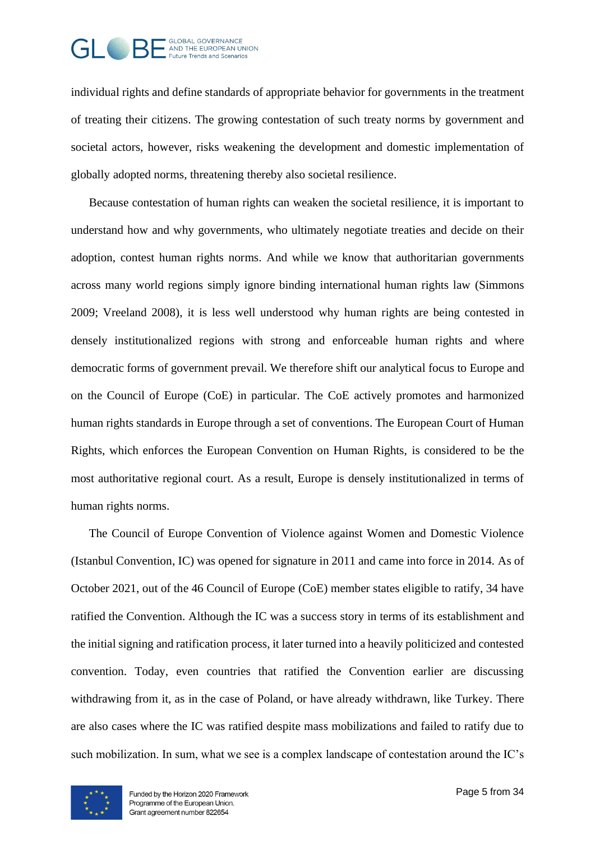

individual rights and define standards of appropriate behavior for governments in the treatment of treating their citizens. The growing contestation of such treaty norms by government and societal actors, however, risks weakening the development and domestic implementation of globally adopted norms, threatening thereby also societal resilience.

Because contestation of human rights can weaken the societal resilience, it is important to understand how and why governments, who ultimately negotiate treaties and decide on their adoption, contest human rights norms. And while we know that authoritarian governments across many world regions simply ignore binding international human rights law (Simmons 2009; Vreeland 2008), it is less well understood why human rights are being contested in densely institutionalized regions with strong and enforceable human rights and where democratic forms of government prevail. We therefore shift our analytical focus to Europe and on the Council of Europe (CoE) in particular. The CoE actively promotes and harmonized human rights standards in Europe through a set of conventions. The European Court of Human Rights, which enforces the European Convention on Human Rights, is considered to be the most authoritative regional court. As a result, Europe is densely institutionalized in terms of human rights norms.

The Council of Europe Convention of Violence against Women and Domestic Violence (Istanbul Convention, IC) was opened for signature in 2011 and came into force in 2014. As of October 2021, out of the 46 Council of Europe (CoE) member states eligible to ratify, 34 have ratified the Convention. Although the IC was a success story in terms of its establishment and the initial signing and ratification process, it later turned into a heavily politicized and contested convention. Today, even countries that ratified the Convention earlier are discussing withdrawing from it, as in the case of Poland, or have already withdrawn, like Turkey. There are also cases where the IC was ratified despite mass mobilizations and failed to ratify due to such mobilization. In sum, what we see is a complex landscape of contestation around the IC's

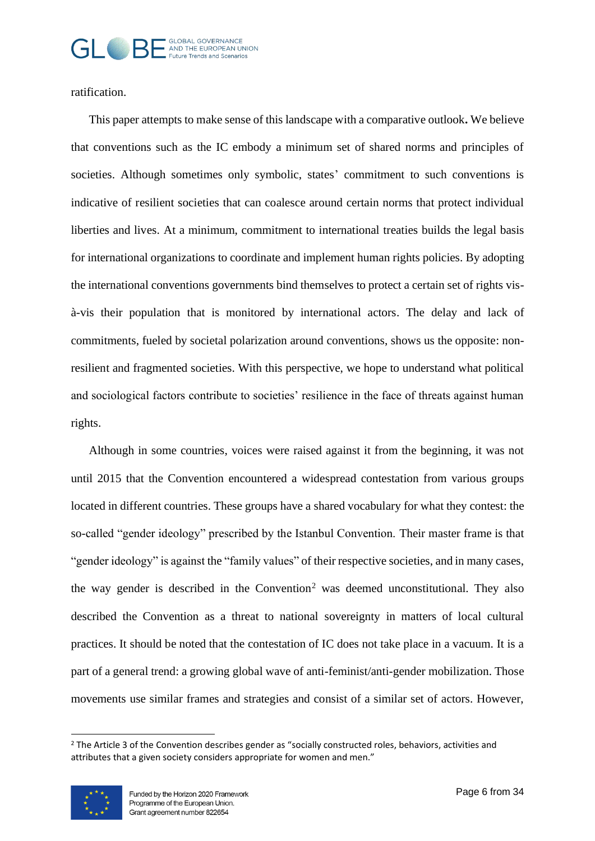#### GLOBAL GOVERNANCE<br>- AND THE EUROPEAN UNION  $GI \oplus BI$ Future Trends and Scenarios

ratification.

This paper attempts to make sense of this landscape with a comparative outlook**.** We believe that conventions such as the IC embody a minimum set of shared norms and principles of societies. Although sometimes only symbolic, states' commitment to such conventions is indicative of resilient societies that can coalesce around certain norms that protect individual liberties and lives. At a minimum, commitment to international treaties builds the legal basis for international organizations to coordinate and implement human rights policies. By adopting the international conventions governments bind themselves to protect a certain set of rights visà-vis their population that is monitored by international actors. The delay and lack of commitments, fueled by societal polarization around conventions, shows us the opposite: nonresilient and fragmented societies. With this perspective, we hope to understand what political and sociological factors contribute to societies' resilience in the face of threats against human rights.

Although in some countries, voices were raised against it from the beginning, it was not until 2015 that the Convention encountered a widespread contestation from various groups located in different countries. These groups have a shared vocabulary for what they contest: the so-called "gender ideology" prescribed by the Istanbul Convention. Their master frame is that "gender ideology" is against the "family values" of their respective societies, and in many cases, the way gender is described in the Convention<sup>2</sup> was deemed unconstitutional. They also described the Convention as a threat to national sovereignty in matters of local cultural practices. It should be noted that the contestation of IC does not take place in a vacuum. It is a part of a general trend: a growing global wave of anti-feminist/anti-gender mobilization. Those movements use similar frames and strategies and consist of a similar set of actors. However,

<sup>&</sup>lt;sup>2</sup> The Article 3 of the Convention describes gender as "socially constructed roles, behaviors, activities and attributes that a given society considers appropriate for women and men."

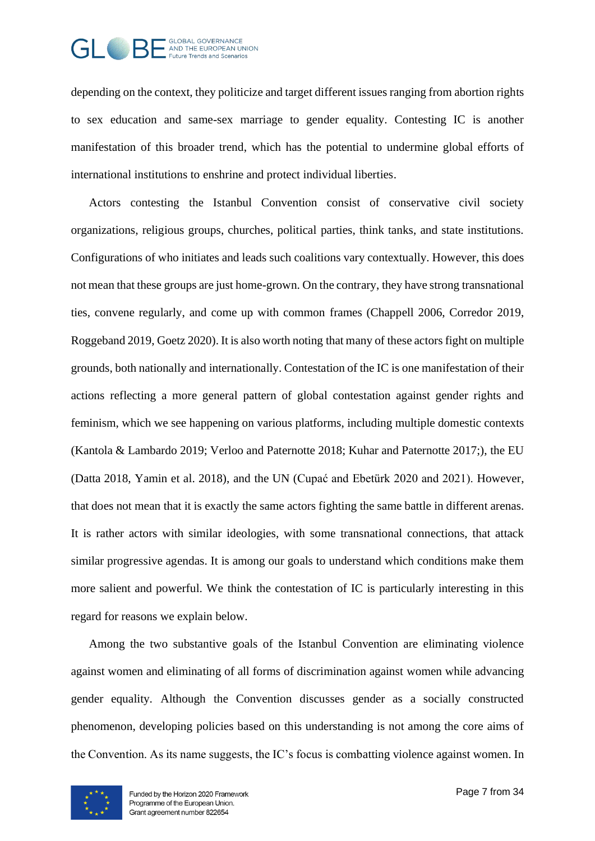

depending on the context, they politicize and target different issues ranging from abortion rights to sex education and same-sex marriage to gender equality. Contesting IC is another manifestation of this broader trend, which has the potential to undermine global efforts of international institutions to enshrine and protect individual liberties.

Actors contesting the Istanbul Convention consist of conservative civil society organizations, religious groups, churches, political parties, think tanks, and state institutions. Configurations of who initiates and leads such coalitions vary contextually. However, this does not mean that these groups are just home-grown. On the contrary, they have strong transnational ties, convene regularly, and come up with common frames (Chappell 2006, Corredor 2019, Roggeband 2019, Goetz 2020). It is also worth noting that many of these actors fight on multiple grounds, both nationally and internationally. Contestation of the IC is one manifestation of their actions reflecting a more general pattern of global contestation against gender rights and feminism, which we see happening on various platforms, including multiple domestic contexts (Kantola & Lambardo 2019; Verloo and Paternotte 2018; Kuhar and Paternotte 2017;), the EU (Datta 2018, Yamin et al. 2018), and the UN (Cupać and Ebetürk 2020 and 2021). However, that does not mean that it is exactly the same actors fighting the same battle in different arenas. It is rather actors with similar ideologies, with some transnational connections, that attack similar progressive agendas. It is among our goals to understand which conditions make them more salient and powerful. We think the contestation of IC is particularly interesting in this regard for reasons we explain below.

Among the two substantive goals of the Istanbul Convention are eliminating violence against women and eliminating of all forms of discrimination against women while advancing gender equality. Although the Convention discusses gender as a socially constructed phenomenon, developing policies based on this understanding is not among the core aims of the Convention. As its name suggests, the IC's focus is combatting violence against women. In

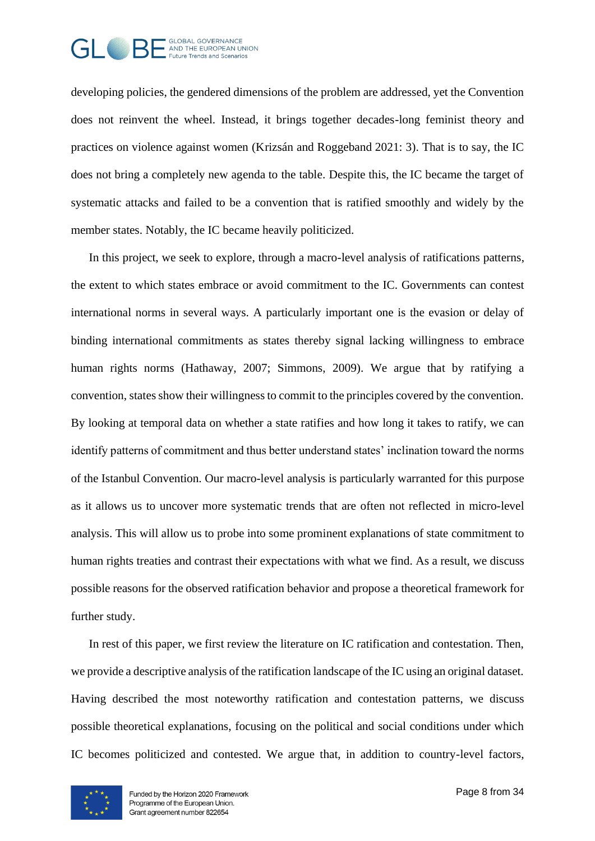

developing policies, the gendered dimensions of the problem are addressed, yet the Convention does not reinvent the wheel. Instead, it brings together decades-long feminist theory and practices on violence against women (Krizsán and Roggeband 2021: 3). That is to say, the IC does not bring a completely new agenda to the table. Despite this, the IC became the target of systematic attacks and failed to be a convention that is ratified smoothly and widely by the member states. Notably, the IC became heavily politicized.

In this project, we seek to explore, through a macro-level analysis of ratifications patterns, the extent to which states embrace or avoid commitment to the IC. Governments can contest international norms in several ways. A particularly important one is the evasion or delay of binding international commitments as states thereby signal lacking willingness to embrace human rights norms (Hathaway, 2007; Simmons, 2009). We argue that by ratifying a convention, states show their willingness to commit to the principles covered by the convention. By looking at temporal data on whether a state ratifies and how long it takes to ratify, we can identify patterns of commitment and thus better understand states' inclination toward the norms of the Istanbul Convention. Our macro-level analysis is particularly warranted for this purpose as it allows us to uncover more systematic trends that are often not reflected in micro-level analysis. This will allow us to probe into some prominent explanations of state commitment to human rights treaties and contrast their expectations with what we find. As a result, we discuss possible reasons for the observed ratification behavior and propose a theoretical framework for further study.

In rest of this paper, we first review the literature on IC ratification and contestation. Then, we provide a descriptive analysis of the ratification landscape of the IC using an original dataset. Having described the most noteworthy ratification and contestation patterns, we discuss possible theoretical explanations, focusing on the political and social conditions under which IC becomes politicized and contested. We argue that, in addition to country-level factors,

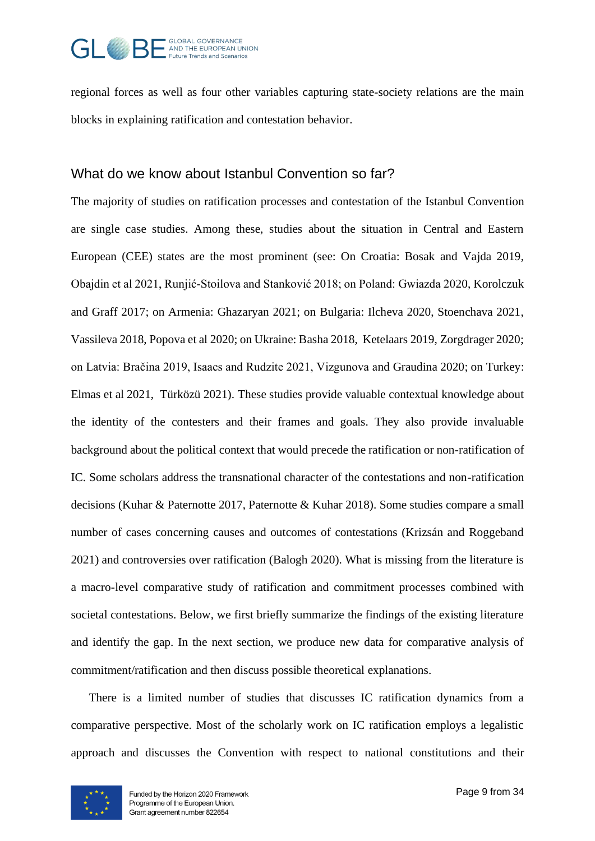

regional forces as well as four other variables capturing state-society relations are the main blocks in explaining ratification and contestation behavior.

### What do we know about Istanbul Convention so far?

The majority of studies on ratification processes and contestation of the Istanbul Convention are single case studies. Among these, studies about the situation in Central and Eastern European (CEE) states are the most prominent (see: On Croatia: Bosak and Vajda 2019, Obajdin et al 2021, Runjić-Stoilova and Stanković 2018; on Poland: Gwiazda 2020, Korolczuk and Graff 2017; on Armenia: Ghazaryan 2021; on Bulgaria: Ilcheva 2020, Stoenchava 2021, Vassileva 2018, Popova et al 2020; on Ukraine: Basha 2018, Ketelaars 2019, Zorgdrager 2020; on Latvia: Bračina 2019, Isaacs and Rudzite 2021, Vizgunova and Graudina 2020; on Turkey: Elmas et al 2021, Türközü 2021). These studies provide valuable contextual knowledge about the identity of the contesters and their frames and goals. They also provide invaluable background about the political context that would precede the ratification or non-ratification of IC. Some scholars address the transnational character of the contestations and non-ratification decisions (Kuhar & Paternotte 2017, Paternotte & Kuhar 2018). Some studies compare a small number of cases concerning causes and outcomes of contestations (Krizsán and Roggeband 2021) and controversies over ratification (Balogh 2020). What is missing from the literature is a macro-level comparative study of ratification and commitment processes combined with societal contestations. Below, we first briefly summarize the findings of the existing literature and identify the gap. In the next section, we produce new data for comparative analysis of commitment/ratification and then discuss possible theoretical explanations.

There is a limited number of studies that discusses IC ratification dynamics from a comparative perspective. Most of the scholarly work on IC ratification employs a legalistic approach and discusses the Convention with respect to national constitutions and their

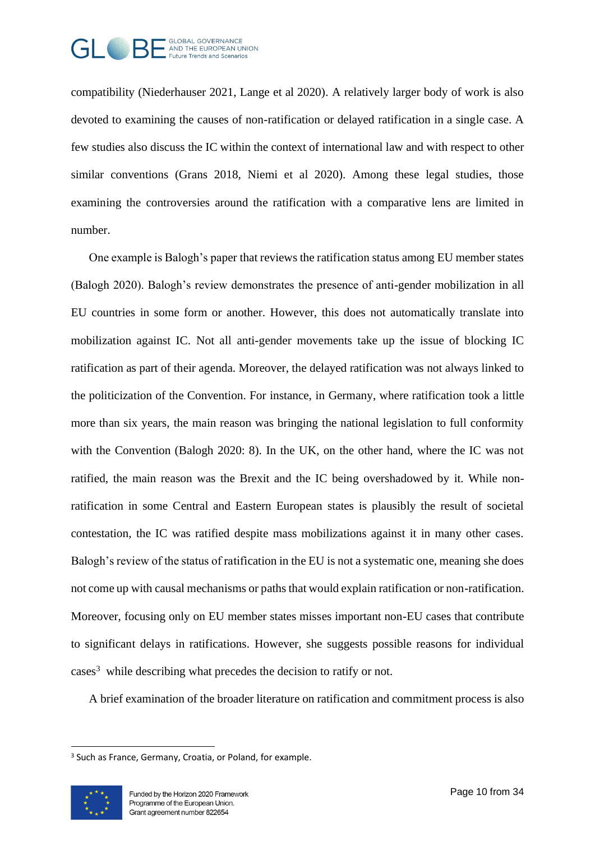

compatibility (Niederhauser 2021, Lange et al 2020). A relatively larger body of work is also devoted to examining the causes of non-ratification or delayed ratification in a single case. A few studies also discuss the IC within the context of international law and with respect to other similar conventions (Grans 2018, Niemi et al 2020). Among these legal studies, those examining the controversies around the ratification with a comparative lens are limited in number.

One example is Balogh's paper that reviews the ratification status among EU member states (Balogh 2020). Balogh's review demonstrates the presence of anti-gender mobilization in all EU countries in some form or another. However, this does not automatically translate into mobilization against IC. Not all anti-gender movements take up the issue of blocking IC ratification as part of their agenda. Moreover, the delayed ratification was not always linked to the politicization of the Convention. For instance, in Germany, where ratification took a little more than six years, the main reason was bringing the national legislation to full conformity with the Convention (Balogh 2020: 8). In the UK, on the other hand, where the IC was not ratified, the main reason was the Brexit and the IC being overshadowed by it. While nonratification in some Central and Eastern European states is plausibly the result of societal contestation, the IC was ratified despite mass mobilizations against it in many other cases. Balogh's review of the status of ratification in the EU is not a systematic one, meaning she does not come up with causal mechanisms or paths that would explain ratification or non-ratification. Moreover, focusing only on EU member states misses important non-EU cases that contribute to significant delays in ratifications. However, she suggests possible reasons for individual cases<sup>3</sup> while describing what precedes the decision to ratify or not.

A brief examination of the broader literature on ratification and commitment process is also

<sup>&</sup>lt;sup>3</sup> Such as France, Germany, Croatia, or Poland, for example.

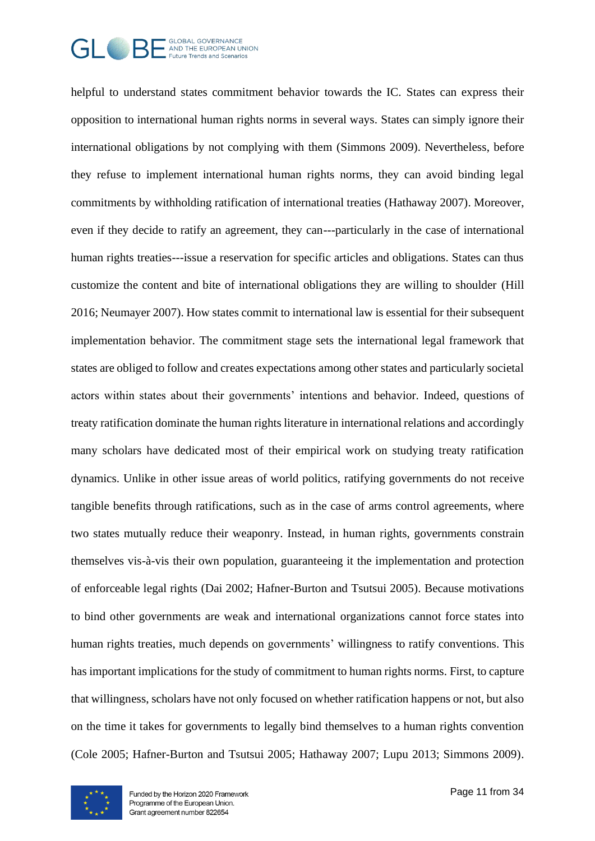

helpful to understand states commitment behavior towards the IC. States can express their opposition to international human rights norms in several ways. States can simply ignore their international obligations by not complying with them (Simmons 2009). Nevertheless, before they refuse to implement international human rights norms, they can avoid binding legal commitments by withholding ratification of international treaties (Hathaway 2007). Moreover, even if they decide to ratify an agreement, they can---particularly in the case of international human rights treaties---issue a reservation for specific articles and obligations. States can thus customize the content and bite of international obligations they are willing to shoulder (Hill 2016; Neumayer 2007). How states commit to international law is essential for their subsequent implementation behavior. The commitment stage sets the international legal framework that states are obliged to follow and creates expectations among other states and particularly societal actors within states about their governments' intentions and behavior. Indeed, questions of treaty ratification dominate the human rights literature in international relations and accordingly many scholars have dedicated most of their empirical work on studying treaty ratification dynamics. Unlike in other issue areas of world politics, ratifying governments do not receive tangible benefits through ratifications, such as in the case of arms control agreements, where two states mutually reduce their weaponry. Instead, in human rights, governments constrain themselves vis-à-vis their own population, guaranteeing it the implementation and protection of enforceable legal rights (Dai 2002; Hafner-Burton and Tsutsui 2005). Because motivations to bind other governments are weak and international organizations cannot force states into human rights treaties, much depends on governments' willingness to ratify conventions. This has important implications for the study of commitment to human rights norms. First, to capture that willingness, scholars have not only focused on whether ratification happens or not, but also on the time it takes for governments to legally bind themselves to a human rights convention (Cole 2005; Hafner-Burton and Tsutsui 2005; Hathaway 2007; Lupu 2013; Simmons 2009).

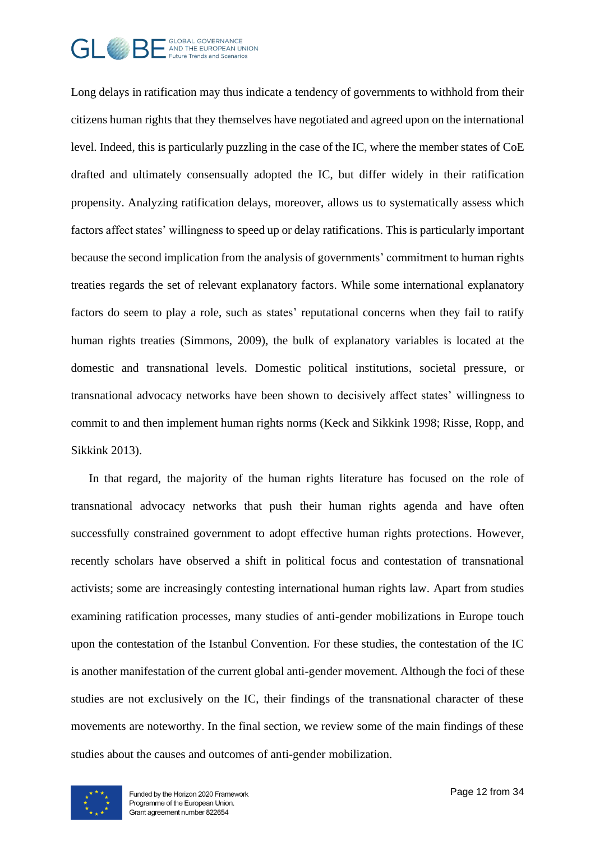

Long delays in ratification may thus indicate a tendency of governments to withhold from their citizens human rights that they themselves have negotiated and agreed upon on the international level. Indeed, this is particularly puzzling in the case of the IC, where the member states of CoE drafted and ultimately consensually adopted the IC, but differ widely in their ratification propensity. Analyzing ratification delays, moreover, allows us to systematically assess which factors affect states' willingness to speed up or delay ratifications. This is particularly important because the second implication from the analysis of governments' commitment to human rights treaties regards the set of relevant explanatory factors. While some international explanatory factors do seem to play a role, such as states' reputational concerns when they fail to ratify human rights treaties (Simmons, 2009), the bulk of explanatory variables is located at the domestic and transnational levels. Domestic political institutions, societal pressure, or transnational advocacy networks have been shown to decisively affect states' willingness to commit to and then implement human rights norms (Keck and Sikkink 1998; Risse, Ropp, and Sikkink 2013).

In that regard, the majority of the human rights literature has focused on the role of transnational advocacy networks that push their human rights agenda and have often successfully constrained government to adopt effective human rights protections. However, recently scholars have observed a shift in political focus and contestation of transnational activists; some are increasingly contesting international human rights law. Apart from studies examining ratification processes, many studies of anti-gender mobilizations in Europe touch upon the contestation of the Istanbul Convention. For these studies, the contestation of the IC is another manifestation of the current global anti-gender movement. Although the foci of these studies are not exclusively on the IC, their findings of the transnational character of these movements are noteworthy. In the final section, we review some of the main findings of these studies about the causes and outcomes of anti-gender mobilization.

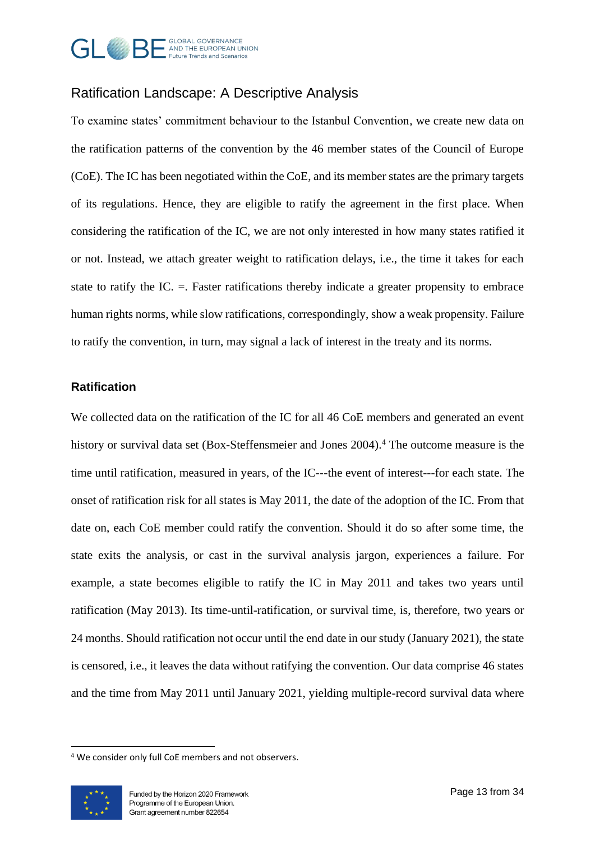

## Ratification Landscape: A Descriptive Analysis

To examine states' commitment behaviour to the Istanbul Convention, we create new data on the ratification patterns of the convention by the 46 member states of the Council of Europe (CoE). The IC has been negotiated within the CoE, and its member states are the primary targets of its regulations. Hence, they are eligible to ratify the agreement in the first place. When considering the ratification of the IC, we are not only interested in how many states ratified it or not. Instead, we attach greater weight to ratification delays, i.e., the time it takes for each state to ratify the IC. =. Faster ratifications thereby indicate a greater propensity to embrace human rights norms, while slow ratifications, correspondingly, show a weak propensity. Failure to ratify the convention, in turn, may signal a lack of interest in the treaty and its norms.

#### **Ratification**

We collected data on the ratification of the IC for all 46 CoE members and generated an event history or survival data set (Box-Steffensmeier and Jones 2004). <sup>4</sup> The outcome measure is the time until ratification, measured in years, of the IC---the event of interest---for each state. The onset of ratification risk for all states is May 2011, the date of the adoption of the IC. From that date on, each CoE member could ratify the convention. Should it do so after some time, the state exits the analysis, or cast in the survival analysis jargon, experiences a failure. For example, a state becomes eligible to ratify the IC in May 2011 and takes two years until ratification (May 2013). Its time-until-ratification, or survival time, is, therefore, two years or 24 months. Should ratification not occur until the end date in our study (January 2021), the state is censored, i.e., it leaves the data without ratifying the convention. Our data comprise 46 states and the time from May 2011 until January 2021, yielding multiple-record survival data where

<sup>4</sup> We consider only full CoE members and not observers.

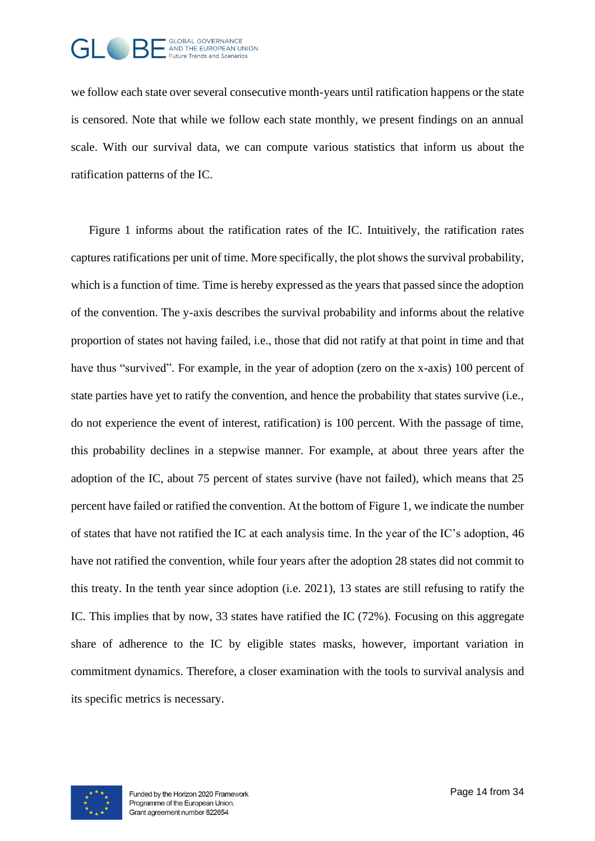

we follow each state over several consecutive month-years until ratification happens or the state is censored. Note that while we follow each state monthly, we present findings on an annual scale. With our survival data, we can compute various statistics that inform us about the ratification patterns of the IC.

[Figure 1](#page-14-0) informs about the ratification rates of the IC. Intuitively, the ratification rates captures ratifications per unit of time. More specifically, the plot shows the survival probability, which is a function of time. Time is hereby expressed as the years that passed since the adoption of the convention. The y-axis describes the survival probability and informs about the relative proportion of states not having failed, i.e., those that did not ratify at that point in time and that have thus "survived". For example, in the year of adoption (zero on the x-axis) 100 percent of state parties have yet to ratify the convention, and hence the probability that states survive (i.e., do not experience the event of interest, ratification) is 100 percent. With the passage of time, this probability declines in a stepwise manner. For example, at about three years after the adoption of the IC, about 75 percent of states survive (have not failed), which means that 25 percent have failed or ratified the convention. At the bottom of Figure 1, we indicate the number of states that have not ratified the IC at each analysis time. In the year of the IC's adoption, 46 have not ratified the convention, while four years after the adoption 28 states did not commit to this treaty. In the tenth year since adoption (i.e. 2021), 13 states are still refusing to ratify the IC. This implies that by now, 33 states have ratified the IC (72%). Focusing on this aggregate share of adherence to the IC by eligible states masks, however, important variation in commitment dynamics. Therefore, a closer examination with the tools to survival analysis and its specific metrics is necessary.

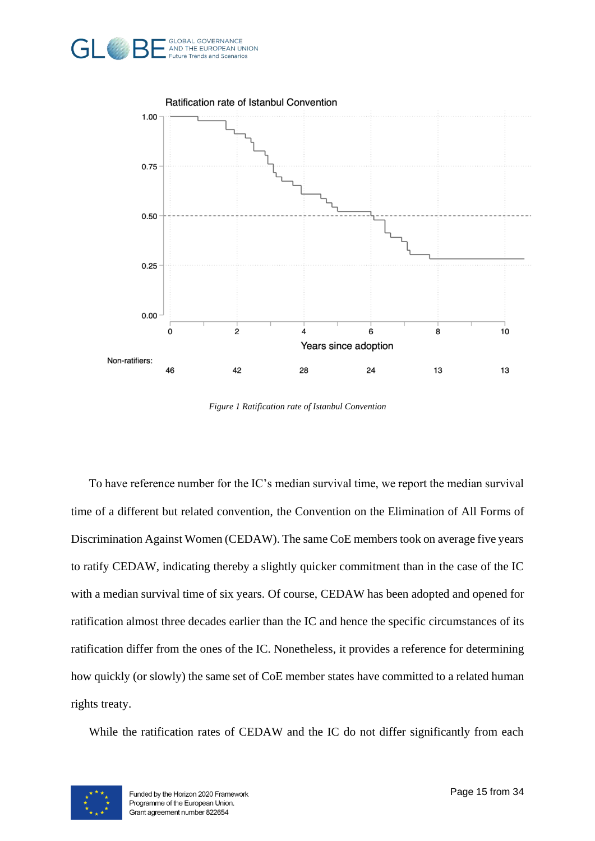



*Figure 1 Ratification rate of Istanbul Convention*

<span id="page-14-0"></span>To have reference number for the IC's median survival time, we report the median survival time of a different but related convention, the Convention on the Elimination of All Forms of Discrimination Against Women (CEDAW). The same CoE members took on average five years to ratify CEDAW, indicating thereby a slightly quicker commitment than in the case of the IC with a median survival time of six years. Of course, CEDAW has been adopted and opened for ratification almost three decades earlier than the IC and hence the specific circumstances of its ratification differ from the ones of the IC. Nonetheless, it provides a reference for determining how quickly (or slowly) the same set of CoE member states have committed to a related human rights treaty.

While the ratification rates of CEDAW and the IC do not differ significantly from each

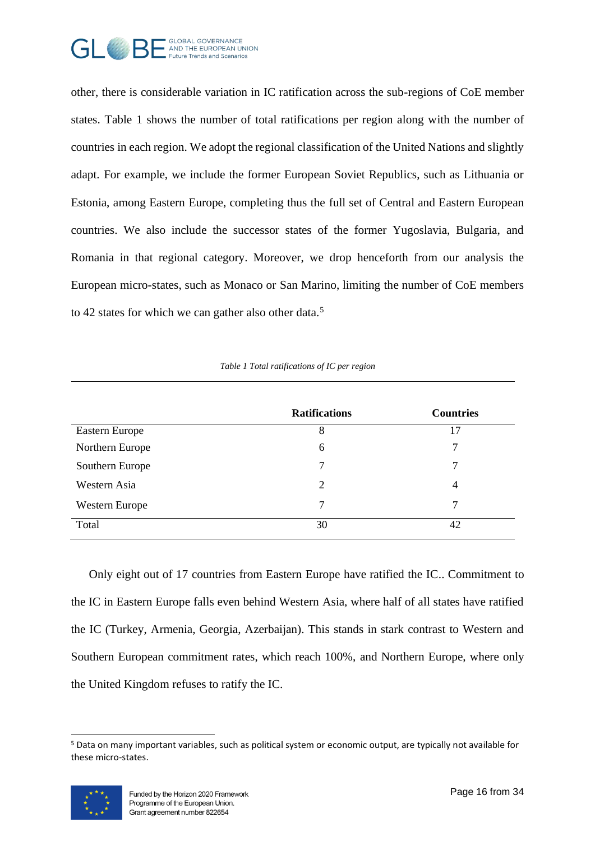

other, there is considerable variation in IC ratification across the sub-regions of CoE member states. [Table 1](#page-15-0) shows the number of total ratifications per region along with the number of countries in each region. We adopt the regional classification of the United Nations and slightly adapt. For example, we include the former European Soviet Republics, such as Lithuania or Estonia, among Eastern Europe, completing thus the full set of Central and Eastern European countries. We also include the successor states of the former Yugoslavia, Bulgaria, and Romania in that regional category. Moreover, we drop henceforth from our analysis the European micro-states, such as Monaco or San Marino, limiting the number of CoE members to 42 states for which we can gather also other data.<sup>5</sup>

<span id="page-15-0"></span>

|                 | <b>Ratifications</b> | <b>Countries</b> |
|-----------------|----------------------|------------------|
| Eastern Europe  | 8                    | 17               |
| Northern Europe | 6                    | 7                |
| Southern Europe | 7                    | 7                |
| Western Asia    | $\overline{2}$       | 4                |
| Western Europe  | 7                    | 7                |
| Total           | 30                   | 42               |

*Table 1 Total ratifications of IC per region*

Only eight out of 17 countries from Eastern Europe have ratified the IC.. Commitment to the IC in Eastern Europe falls even behind Western Asia, where half of all states have ratified the IC (Turkey, Armenia, Georgia, Azerbaijan). This stands in stark contrast to Western and Southern European commitment rates, which reach 100%, and Northern Europe, where only the United Kingdom refuses to ratify the IC.

<sup>5</sup> Data on many important variables, such as political system or economic output, are typically not available for these micro-states.

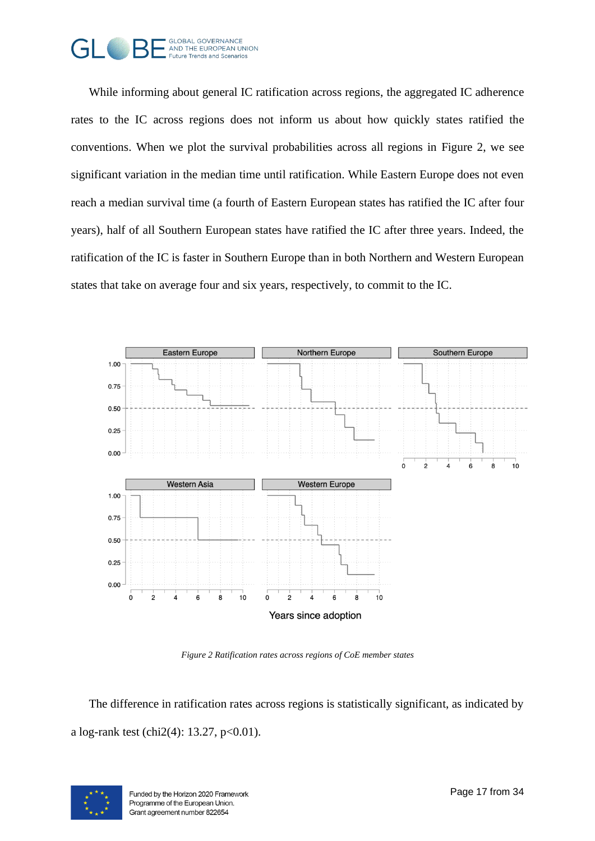

While informing about general IC ratification across regions, the aggregated IC adherence rates to the IC across regions does not inform us about how quickly states ratified the conventions. When we plot the survival probabilities across all regions in [Figure 2,](#page-16-0) we see significant variation in the median time until ratification. While Eastern Europe does not even reach a median survival time (a fourth of Eastern European states has ratified the IC after four years), half of all Southern European states have ratified the IC after three years. Indeed, the ratification of the IC is faster in Southern Europe than in both Northern and Western European states that take on average four and six years, respectively, to commit to the IC.



*Figure 2 Ratification rates across regions of CoE member states* 

<span id="page-16-0"></span>The difference in ratification rates across regions is statistically significant, as indicated by a log-rank test (chi2(4): 13.27,  $p<0.01$ ).

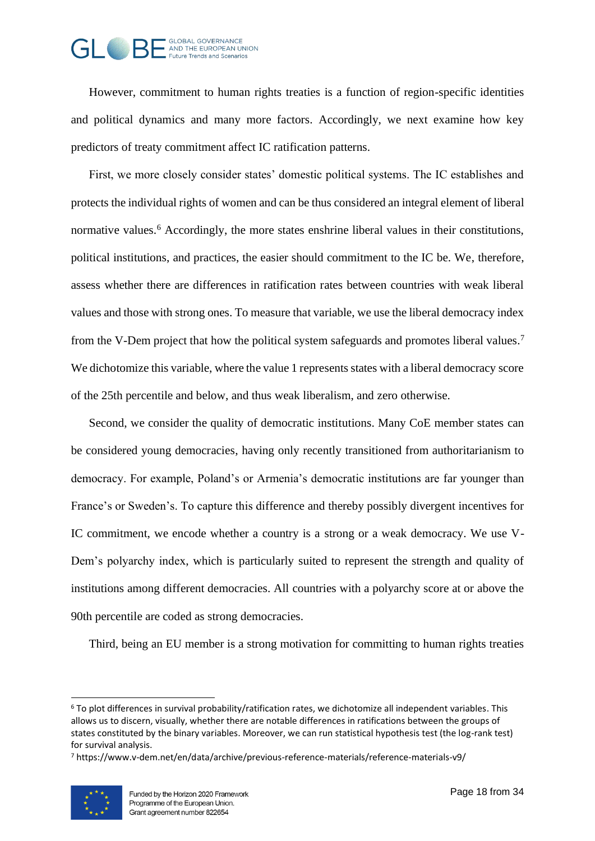

However, commitment to human rights treaties is a function of region-specific identities and political dynamics and many more factors. Accordingly, we next examine how key predictors of treaty commitment affect IC ratification patterns.

First, we more closely consider states' domestic political systems. The IC establishes and protects the individual rights of women and can be thus considered an integral element of liberal normative values.<sup>6</sup> Accordingly, the more states enshrine liberal values in their constitutions, political institutions, and practices, the easier should commitment to the IC be. We, therefore, assess whether there are differences in ratification rates between countries with weak liberal values and those with strong ones. To measure that variable, we use the liberal democracy index from the V-Dem project that how the political system safeguards and promotes liberal values.<sup>7</sup> We dichotomize this variable, where the value 1 represents states with a liberal democracy score of the 25th percentile and below, and thus weak liberalism, and zero otherwise.

Second, we consider the quality of democratic institutions. Many CoE member states can be considered young democracies, having only recently transitioned from authoritarianism to democracy. For example, Poland's or Armenia's democratic institutions are far younger than France's or Sweden's. To capture this difference and thereby possibly divergent incentives for IC commitment, we encode whether a country is a strong or a weak democracy. We use V-Dem's polyarchy index, which is particularly suited to represent the strength and quality of institutions among different democracies. All countries with a polyarchy score at or above the 90th percentile are coded as strong democracies.

Third, being an EU member is a strong motivation for committing to human rights treaties

<sup>7</sup> https://www.v-dem.net/en/data/archive/previous-reference-materials/reference-materials-v9/



 $6$  To plot differences in survival probability/ratification rates, we dichotomize all independent variables. This allows us to discern, visually, whether there are notable differences in ratifications between the groups of states constituted by the binary variables. Moreover, we can run statistical hypothesis test (the log-rank test) for survival analysis.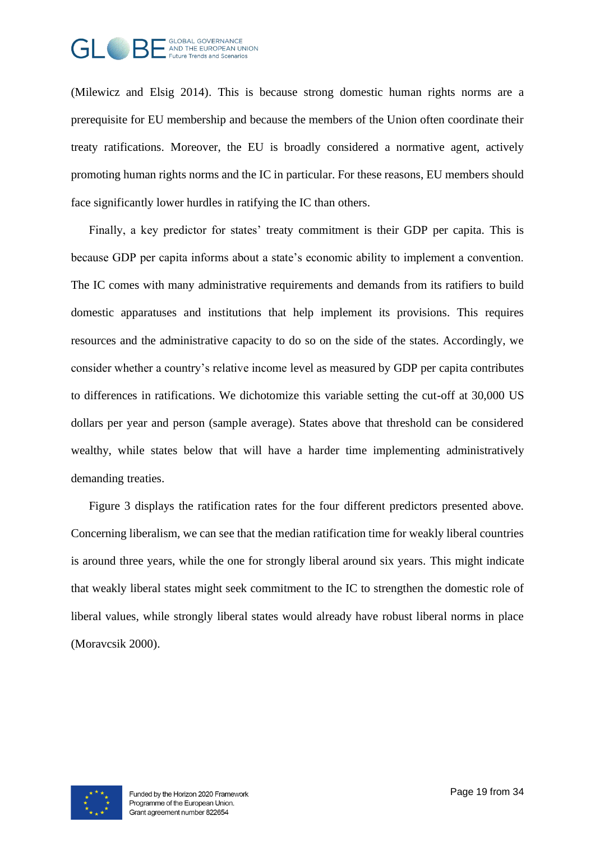

(Milewicz and Elsig 2014). This is because strong domestic human rights norms are a prerequisite for EU membership and because the members of the Union often coordinate their treaty ratifications. Moreover, the EU is broadly considered a normative agent, actively promoting human rights norms and the IC in particular. For these reasons, EU members should face significantly lower hurdles in ratifying the IC than others.

Finally, a key predictor for states' treaty commitment is their GDP per capita. This is because GDP per capita informs about a state's economic ability to implement a convention. The IC comes with many administrative requirements and demands from its ratifiers to build domestic apparatuses and institutions that help implement its provisions. This requires resources and the administrative capacity to do so on the side of the states. Accordingly, we consider whether a country's relative income level as measured by GDP per capita contributes to differences in ratifications. We dichotomize this variable setting the cut-off at 30,000 US dollars per year and person (sample average). States above that threshold can be considered wealthy, while states below that will have a harder time implementing administratively demanding treaties.

[Figure 3](#page-19-0) displays the ratification rates for the four different predictors presented above. Concerning liberalism, we can see that the median ratification time for weakly liberal countries is around three years, while the one for strongly liberal around six years. This might indicate that weakly liberal states might seek commitment to the IC to strengthen the domestic role of liberal values, while strongly liberal states would already have robust liberal norms in place (Moravcsik 2000).

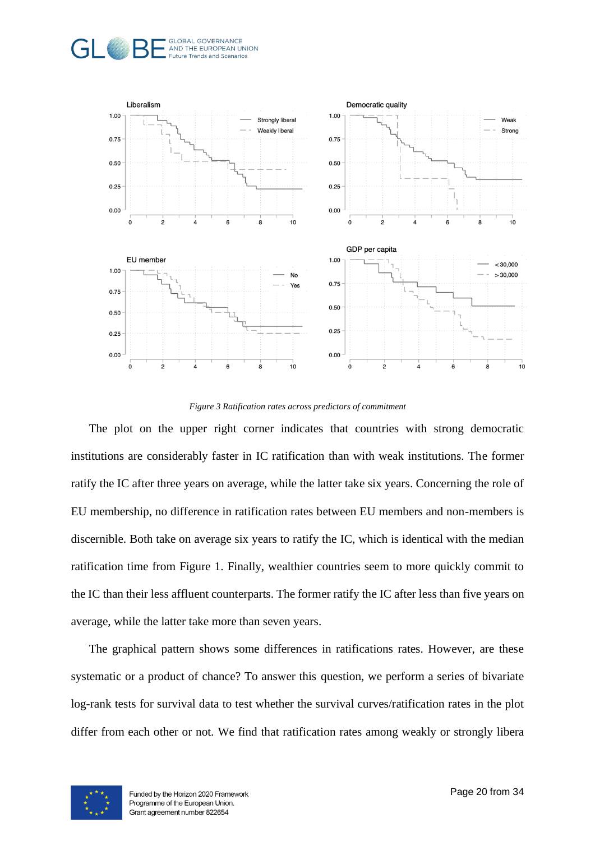



*Figure 3 Ratification rates across predictors of commitment*

<span id="page-19-0"></span>The plot on the upper right corner indicates that countries with strong democratic institutions are considerably faster in IC ratification than with weak institutions. The former ratify the IC after three years on average, while the latter take six years. Concerning the role of EU membership, no difference in ratification rates between EU members and non-members is discernible. Both take on average six years to ratify the IC, which is identical with the median ratification time from [Figure 1.](#page-14-0) Finally, wealthier countries seem to more quickly commit to the IC than their less affluent counterparts. The former ratify the IC after less than five years on average, while the latter take more than seven years.

The graphical pattern shows some differences in ratifications rates. However, are these systematic or a product of chance? To answer this question, we perform a series of bivariate log-rank tests for survival data to test whether the survival curves/ratification rates in the plot differ from each other or not. We find that ratification rates among weakly or strongly libera

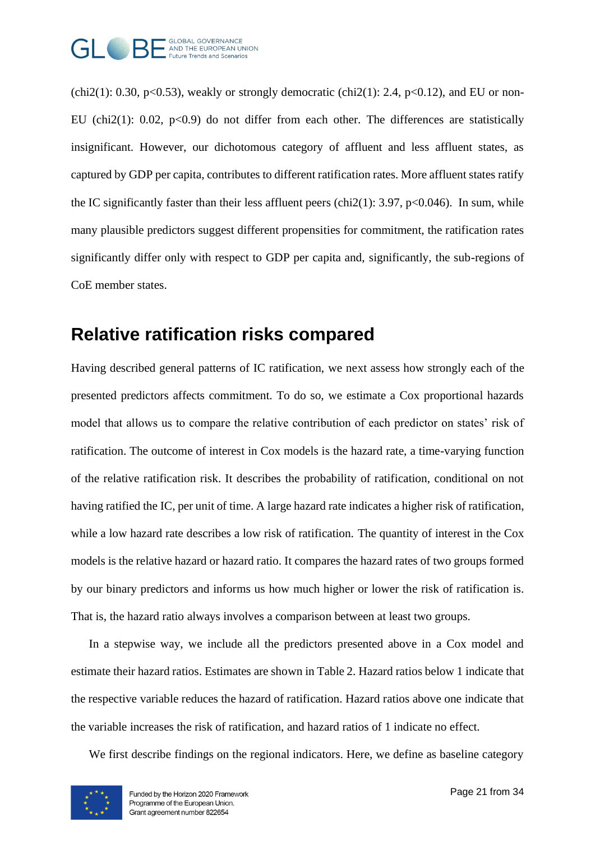

(chi2(1): 0.30, p<0.53), weakly or strongly democratic (chi2(1): 2.4, p<0.12), and EU or non-EU (chi2(1): 0.02,  $p<0.9$ ) do not differ from each other. The differences are statistically insignificant. However, our dichotomous category of affluent and less affluent states, as captured by GDP per capita, contributes to different ratification rates. More affluent states ratify the IC significantly faster than their less affluent peers (chi2(1): 3.97, p<0.046). In sum, while many plausible predictors suggest different propensities for commitment, the ratification rates significantly differ only with respect to GDP per capita and, significantly, the sub-regions of CoE member states.

# **Relative ratification risks compared**

Having described general patterns of IC ratification, we next assess how strongly each of the presented predictors affects commitment. To do so, we estimate a Cox proportional hazards model that allows us to compare the relative contribution of each predictor on states' risk of ratification. The outcome of interest in Cox models is the hazard rate, a time-varying function of the relative ratification risk. It describes the probability of ratification, conditional on not having ratified the IC, per unit of time. A large hazard rate indicates a higher risk of ratification, while a low hazard rate describes a low risk of ratification. The quantity of interest in the Cox models is the relative hazard or hazard ratio. It compares the hazard rates of two groups formed by our binary predictors and informs us how much higher or lower the risk of ratification is. That is, the hazard ratio always involves a comparison between at least two groups.

In a stepwise way, we include all the predictors presented above in a Cox model and estimate their hazard ratios. Estimates are shown in [Table 2.](#page-22-0) Hazard ratios below 1 indicate that the respective variable reduces the hazard of ratification. Hazard ratios above one indicate that the variable increases the risk of ratification, and hazard ratios of 1 indicate no effect.

We first describe findings on the regional indicators. Here, we define as baseline category

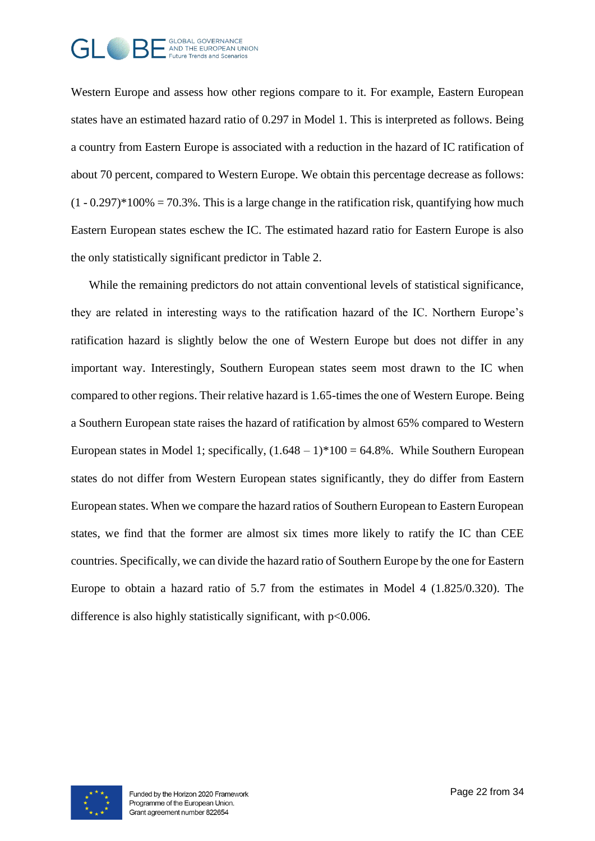

Western Europe and assess how other regions compare to it. For example, Eastern European states have an estimated hazard ratio of 0.297 in Model 1. This is interpreted as follows. Being a country from Eastern Europe is associated with a reduction in the hazard of IC ratification of about 70 percent, compared to Western Europe. We obtain this percentage decrease as follows:  $(1 - 0.297)^*100\% = 70.3\%$ . This is a large change in the ratification risk, quantifying how much Eastern European states eschew the IC. The estimated hazard ratio for Eastern Europe is also the only statistically significant predictor in [Table 2.](#page-22-0)

While the remaining predictors do not attain conventional levels of statistical significance, they are related in interesting ways to the ratification hazard of the IC. Northern Europe's ratification hazard is slightly below the one of Western Europe but does not differ in any important way. Interestingly, Southern European states seem most drawn to the IC when compared to other regions. Their relative hazard is 1.65-times the one of Western Europe. Being a Southern European state raises the hazard of ratification by almost 65% compared to Western European states in Model 1; specifically,  $(1.648 - 1)*100 = 64.8\%$ . While Southern European states do not differ from Western European states significantly, they do differ from Eastern European states. When we compare the hazard ratios of Southern European to Eastern European states, we find that the former are almost six times more likely to ratify the IC than CEE countries. Specifically, we can divide the hazard ratio of Southern Europe by the one for Eastern Europe to obtain a hazard ratio of 5.7 from the estimates in Model 4 (1.825/0.320). The difference is also highly statistically significant, with  $p<0.006$ .

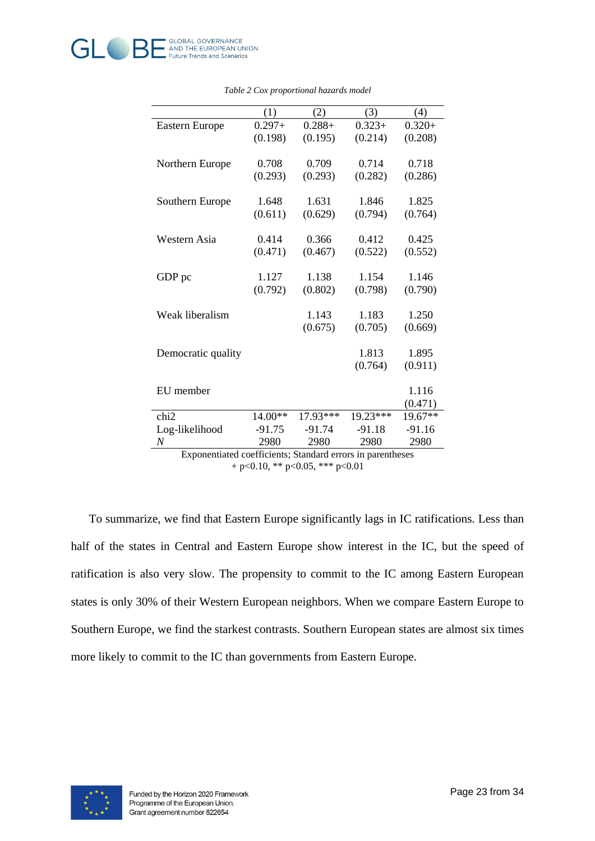<span id="page-22-0"></span>

|                                                            | (1)       | (2)       | (3)      | (4)      |
|------------------------------------------------------------|-----------|-----------|----------|----------|
| Eastern Europe                                             | $0.297 +$ | $0.288 +$ | $0.323+$ | $0.320+$ |
|                                                            | (0.198)   | (0.195)   | (0.214)  | (0.208)  |
|                                                            |           |           |          |          |
| Northern Europe                                            | 0.708     | 0.709     | 0.714    | 0.718    |
|                                                            | (0.293)   | (0.293)   | (0.282)  | (0.286)  |
|                                                            |           |           |          |          |
| Southern Europe                                            | 1.648     | 1.631     | 1.846    | 1.825    |
|                                                            | (0.611)   | (0.629)   | (0.794)  | (0.764)  |
|                                                            |           |           |          |          |
| Western Asia                                               | 0.414     | 0.366     | 0.412    | 0.425    |
|                                                            | (0.471)   | (0.467)   | (0.522)  | (0.552)  |
|                                                            |           |           |          |          |
| GDP pc                                                     | 1.127     | 1.138     | 1.154    | 1.146    |
|                                                            | (0.792)   | (0.802)   | (0.798)  | (0.790)  |
|                                                            |           |           |          |          |
| Weak liberalism                                            |           | 1.143     | 1.183    | 1.250    |
|                                                            |           | (0.675)   | (0.705)  | (0.669)  |
|                                                            |           |           |          |          |
| Democratic quality                                         |           |           | 1.813    | 1.895    |
|                                                            |           |           | (0.764)  | (0.911)  |
|                                                            |           |           |          |          |
| EU member                                                  |           |           |          | 1.116    |
|                                                            |           |           |          | (0.471)  |
| chi <sub>2</sub>                                           | 14.00**   | 17.93***  | 19.23*** | 19.67**  |
| Log-likelihood                                             | $-91.75$  | $-91.74$  | $-91.18$ | $-91.16$ |
| $\boldsymbol{N}$                                           | 2980      | 2980      | 2980     | 2980     |
| Exponentiated coefficients: Standard errors in parentheses |           |           |          |          |

*Table 2 Cox proportional hazards model*

Exponentiated coefficients; Standard errors in parentheses  $+ p<0.10$ , \*\*  $p<0.05$ , \*\*\*  $p<0.01$ 

To summarize, we find that Eastern Europe significantly lags in IC ratifications. Less than half of the states in Central and Eastern Europe show interest in the IC, but the speed of ratification is also very slow. The propensity to commit to the IC among Eastern European states is only 30% of their Western European neighbors. When we compare Eastern Europe to Southern Europe, we find the starkest contrasts. Southern European states are almost six times more likely to commit to the IC than governments from Eastern Europe.

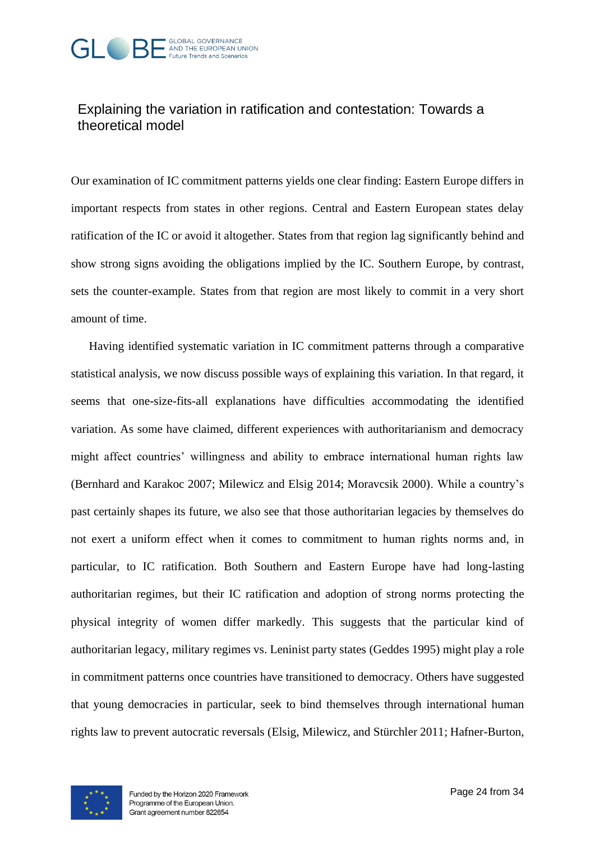

## Explaining the variation in ratification and contestation: Towards a theoretical model

Our examination of IC commitment patterns yields one clear finding: Eastern Europe differs in important respects from states in other regions. Central and Eastern European states delay ratification of the IC or avoid it altogether. States from that region lag significantly behind and show strong signs avoiding the obligations implied by the IC. Southern Europe, by contrast, sets the counter-example. States from that region are most likely to commit in a very short amount of time.

Having identified systematic variation in IC commitment patterns through a comparative statistical analysis, we now discuss possible ways of explaining this variation. In that regard, it seems that one-size-fits-all explanations have difficulties accommodating the identified variation. As some have claimed, different experiences with authoritarianism and democracy might affect countries' willingness and ability to embrace international human rights law (Bernhard and Karakoc 2007; Milewicz and Elsig 2014; Moravcsik 2000). While a country's past certainly shapes its future, we also see that those authoritarian legacies by themselves do not exert a uniform effect when it comes to commitment to human rights norms and, in particular, to IC ratification. Both Southern and Eastern Europe have had long-lasting authoritarian regimes, but their IC ratification and adoption of strong norms protecting the physical integrity of women differ markedly. This suggests that the particular kind of authoritarian legacy, military regimes vs. Leninist party states (Geddes 1995) might play a role in commitment patterns once countries have transitioned to democracy. Others have suggested that young democracies in particular, seek to bind themselves through international human rights law to prevent autocratic reversals (Elsig, Milewicz, and Stürchler 2011; Hafner-Burton,

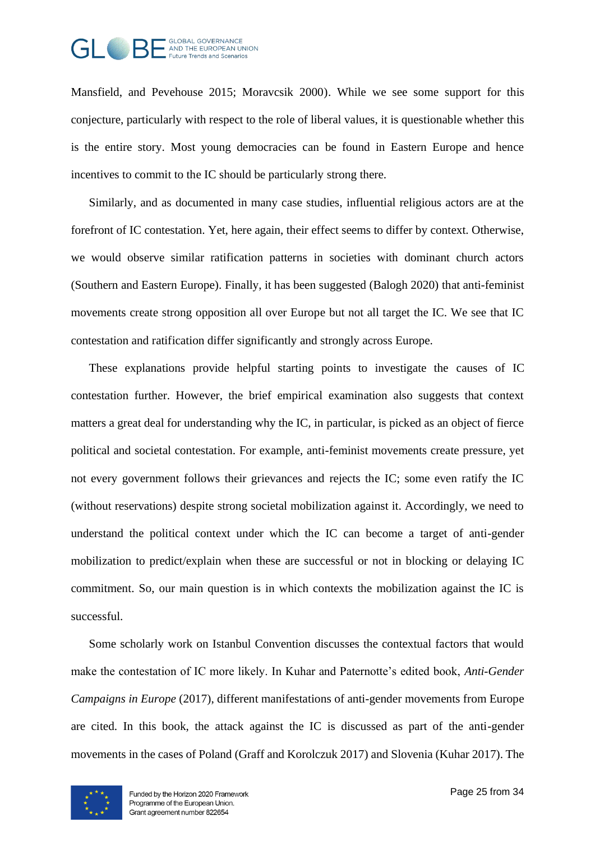

Mansfield, and Pevehouse 2015; Moravcsik 2000). While we see some support for this conjecture, particularly with respect to the role of liberal values, it is questionable whether this is the entire story. Most young democracies can be found in Eastern Europe and hence incentives to commit to the IC should be particularly strong there.

Similarly, and as documented in many case studies, influential religious actors are at the forefront of IC contestation. Yet, here again, their effect seems to differ by context. Otherwise, we would observe similar ratification patterns in societies with dominant church actors (Southern and Eastern Europe). Finally, it has been suggested (Balogh 2020) that anti-feminist movements create strong opposition all over Europe but not all target the IC. We see that IC contestation and ratification differ significantly and strongly across Europe.

These explanations provide helpful starting points to investigate the causes of IC contestation further. However, the brief empirical examination also suggests that context matters a great deal for understanding why the IC, in particular, is picked as an object of fierce political and societal contestation. For example, anti-feminist movements create pressure, yet not every government follows their grievances and rejects the IC; some even ratify the IC (without reservations) despite strong societal mobilization against it. Accordingly, we need to understand the political context under which the IC can become a target of anti-gender mobilization to predict/explain when these are successful or not in blocking or delaying IC commitment. So, our main question is in which contexts the mobilization against the IC is successful.

Some scholarly work on Istanbul Convention discusses the contextual factors that would make the contestation of IC more likely. In Kuhar and Paternotte's edited book, *Anti-Gender Campaigns in Europe* (2017), different manifestations of anti-gender movements from Europe are cited. In this book, the attack against the IC is discussed as part of the anti-gender movements in the cases of Poland (Graff and Korolczuk 2017) and Slovenia (Kuhar 2017). The

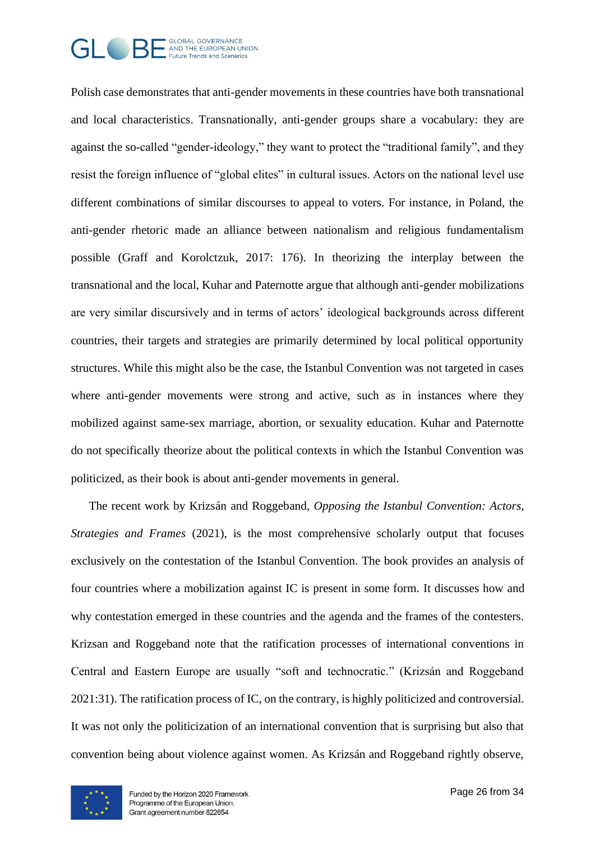

Polish case demonstrates that anti-gender movements in these countries have both transnational and local characteristics. Transnationally, anti-gender groups share a vocabulary: they are against the so-called "gender-ideology," they want to protect the "traditional family", and they resist the foreign influence of "global elites" in cultural issues. Actors on the national level use different combinations of similar discourses to appeal to voters. For instance, in Poland, the anti-gender rhetoric made an alliance between nationalism and religious fundamentalism possible (Graff and Korolctzuk, 2017: 176). In theorizing the interplay between the transnational and the local, Kuhar and Paternotte argue that although anti-gender mobilizations are very similar discursively and in terms of actors' ideological backgrounds across different countries, their targets and strategies are primarily determined by local political opportunity structures. While this might also be the case, the Istanbul Convention was not targeted in cases where anti-gender movements were strong and active, such as in instances where they mobilized against same-sex marriage, abortion, or sexuality education. Kuhar and Paternotte do not specifically theorize about the political contexts in which the Istanbul Convention was politicized, as their book is about anti-gender movements in general.

The recent work by Krizsán and Roggeband, *Opposing the Istanbul Convention: Actors, Strategies and Frames (2021)*, is the most comprehensive scholarly output that focuses exclusively on the contestation of the Istanbul Convention. The book provides an analysis of four countries where a mobilization against IC is present in some form. It discusses how and why contestation emerged in these countries and the agenda and the frames of the contesters. Krizsan and Roggeband note that the ratification processes of international conventions in Central and Eastern Europe are usually "soft and technocratic." (Krizsán and Roggeband 2021:31). The ratification process of IC, on the contrary, is highly politicized and controversial. It was not only the politicization of an international convention that is surprising but also that convention being about violence against women. As Krizsán and Roggeband rightly observe,

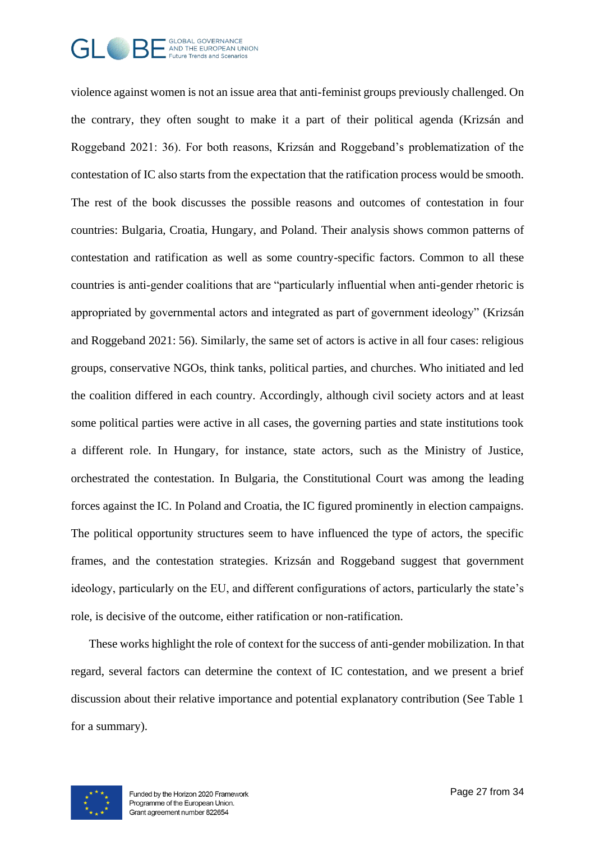

violence against women is not an issue area that anti-feminist groups previously challenged. On the contrary, they often sought to make it a part of their political agenda (Krizsán and Roggeband 2021: 36). For both reasons, Krizsán and Roggeband's problematization of the contestation of IC also starts from the expectation that the ratification process would be smooth. The rest of the book discusses the possible reasons and outcomes of contestation in four countries: Bulgaria, Croatia, Hungary, and Poland. Their analysis shows common patterns of contestation and ratification as well as some country-specific factors. Common to all these countries is anti-gender coalitions that are "particularly influential when anti-gender rhetoric is appropriated by governmental actors and integrated as part of government ideology" (Krizsán and Roggeband 2021: 56). Similarly, the same set of actors is active in all four cases: religious groups, conservative NGOs, think tanks, political parties, and churches. Who initiated and led the coalition differed in each country. Accordingly, although civil society actors and at least some political parties were active in all cases, the governing parties and state institutions took a different role. In Hungary, for instance, state actors, such as the Ministry of Justice, orchestrated the contestation. In Bulgaria, the Constitutional Court was among the leading forces against the IC. In Poland and Croatia, the IC figured prominently in election campaigns. The political opportunity structures seem to have influenced the type of actors, the specific frames, and the contestation strategies. Krizsán and Roggeband suggest that government ideology, particularly on the EU, and different configurations of actors, particularly the state's role, is decisive of the outcome, either ratification or non-ratification.

These works highlight the role of context for the success of anti-gender mobilization. In that regard, several factors can determine the context of IC contestation, and we present a brief discussion about their relative importance and potential explanatory contribution (See Table 1 for a summary).

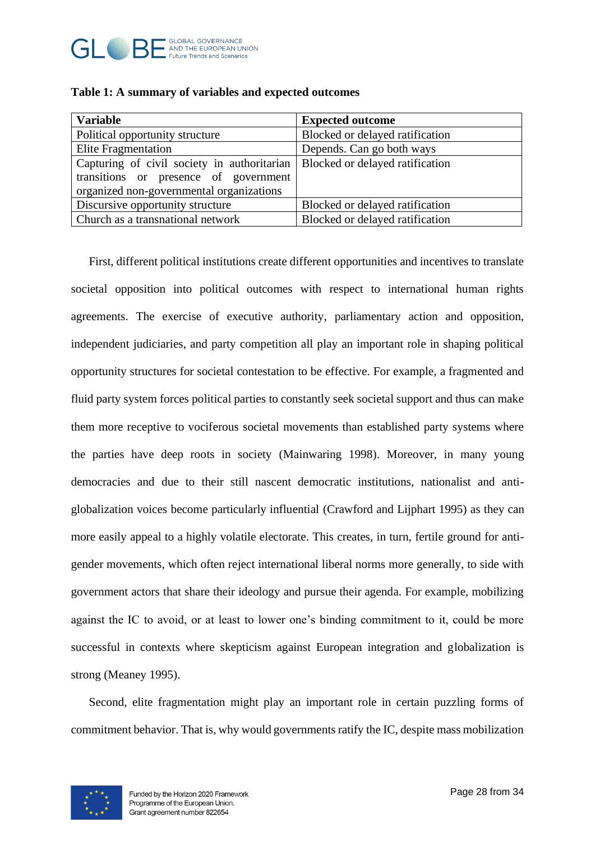

| <b>Variable</b>                             | <b>Expected outcome</b>         |
|---------------------------------------------|---------------------------------|
| Political opportunity structure             | Blocked or delayed ratification |
| <b>Elite Fragmentation</b>                  | Depends. Can go both ways       |
| Capturing of civil society in authoritarian | Blocked or delayed ratification |
| transitions or presence of government       |                                 |
| organized non-governmental organizations    |                                 |
| Discursive opportunity structure            | Blocked or delayed ratification |
| Church as a transnational network           | Blocked or delayed ratification |

|  |  | Table 1: A summary of variables and expected outcomes |  |  |
|--|--|-------------------------------------------------------|--|--|
|--|--|-------------------------------------------------------|--|--|

First, different political institutions create different opportunities and incentives to translate societal opposition into political outcomes with respect to international human rights agreements. The exercise of executive authority, parliamentary action and opposition, independent judiciaries, and party competition all play an important role in shaping political opportunity structures for societal contestation to be effective. For example, a fragmented and fluid party system forces political parties to constantly seek societal support and thus can make them more receptive to vociferous societal movements than established party systems where the parties have deep roots in society (Mainwaring 1998). Moreover, in many young democracies and due to their still nascent democratic institutions, nationalist and antiglobalization voices become particularly influential (Crawford and Lijphart 1995) as they can more easily appeal to a highly volatile electorate. This creates, in turn, fertile ground for antigender movements, which often reject international liberal norms more generally, to side with government actors that share their ideology and pursue their agenda. For example, mobilizing against the IC to avoid, or at least to lower one's binding commitment to it, could be more successful in contexts where skepticism against European integration and globalization is strong (Meaney 1995).

Second, elite fragmentation might play an important role in certain puzzling forms of commitment behavior. That is, why would governments ratify the IC, despite mass mobilization

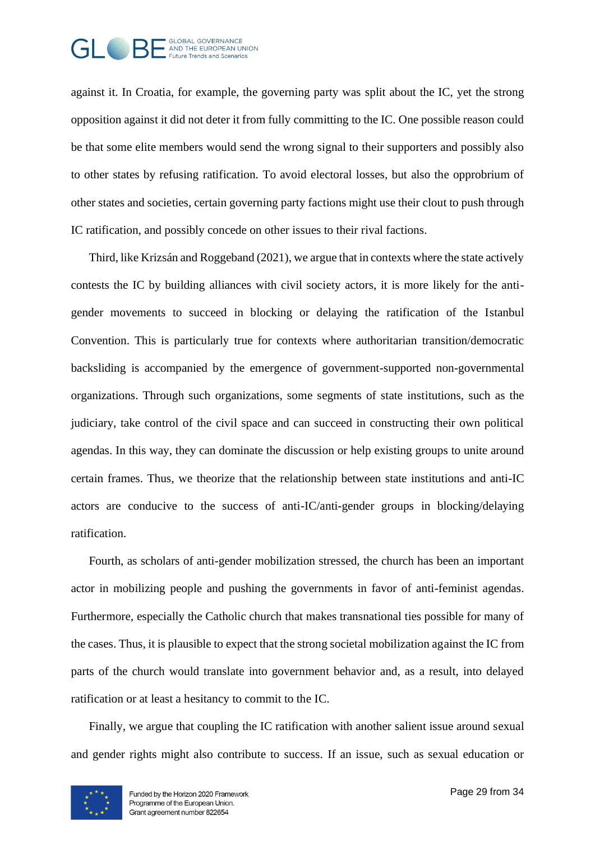

against it. In Croatia, for example, the governing party was split about the IC, yet the strong opposition against it did not deter it from fully committing to the IC. One possible reason could be that some elite members would send the wrong signal to their supporters and possibly also to other states by refusing ratification. To avoid electoral losses, but also the opprobrium of other states and societies, certain governing party factions might use their clout to push through IC ratification, and possibly concede on other issues to their rival factions.

Third, like Krizsán and Roggeband (2021), we argue that in contexts where the state actively contests the IC by building alliances with civil society actors, it is more likely for the antigender movements to succeed in blocking or delaying the ratification of the Istanbul Convention. This is particularly true for contexts where authoritarian transition/democratic backsliding is accompanied by the emergence of government-supported non-governmental organizations. Through such organizations, some segments of state institutions, such as the judiciary, take control of the civil space and can succeed in constructing their own political agendas. In this way, they can dominate the discussion or help existing groups to unite around certain frames. Thus, we theorize that the relationship between state institutions and anti-IC actors are conducive to the success of anti-IC/anti-gender groups in blocking/delaying ratification.

Fourth, as scholars of anti-gender mobilization stressed, the church has been an important actor in mobilizing people and pushing the governments in favor of anti-feminist agendas. Furthermore, especially the Catholic church that makes transnational ties possible for many of the cases. Thus, it is plausible to expect that the strong societal mobilization against the IC from parts of the church would translate into government behavior and, as a result, into delayed ratification or at least a hesitancy to commit to the IC.

Finally, we argue that coupling the IC ratification with another salient issue around sexual and gender rights might also contribute to success. If an issue, such as sexual education or

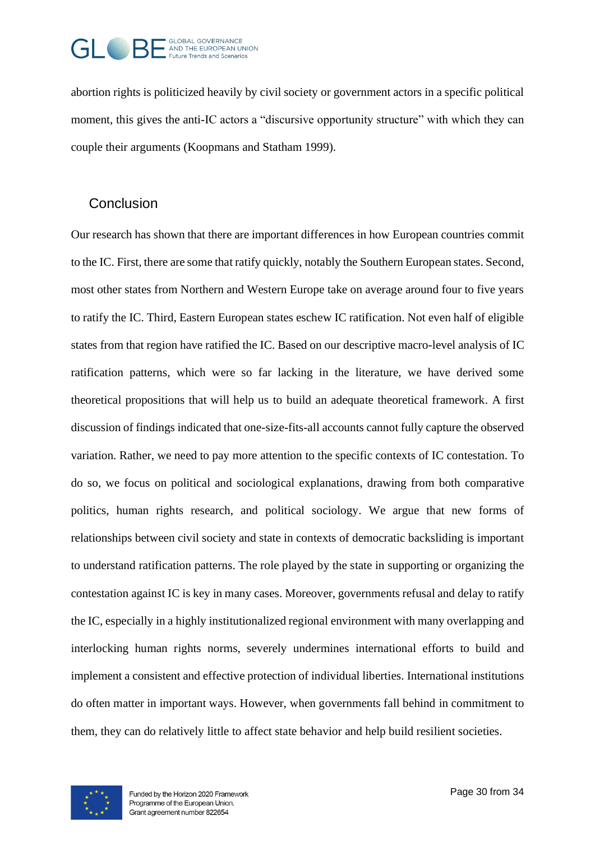

abortion rights is politicized heavily by civil society or government actors in a specific political moment, this gives the anti-IC actors a "discursive opportunity structure" with which they can couple their arguments (Koopmans and Statham 1999).

#### **Conclusion**

Our research has shown that there are important differences in how European countries commit to the IC. First, there are some that ratify quickly, notably the Southern European states. Second, most other states from Northern and Western Europe take on average around four to five years to ratify the IC. Third, Eastern European states eschew IC ratification. Not even half of eligible states from that region have ratified the IC. Based on our descriptive macro-level analysis of IC ratification patterns, which were so far lacking in the literature, we have derived some theoretical propositions that will help us to build an adequate theoretical framework. A first discussion of findings indicated that one-size-fits-all accounts cannot fully capture the observed variation. Rather, we need to pay more attention to the specific contexts of IC contestation. To do so, we focus on political and sociological explanations, drawing from both comparative politics, human rights research, and political sociology. We argue that new forms of relationships between civil society and state in contexts of democratic backsliding is important to understand ratification patterns. The role played by the state in supporting or organizing the contestation against IC is key in many cases. Moreover, governments refusal and delay to ratify the IC, especially in a highly institutionalized regional environment with many overlapping and interlocking human rights norms, severely undermines international efforts to build and implement a consistent and effective protection of individual liberties. International institutions do often matter in important ways. However, when governments fall behind in commitment to them, they can do relatively little to affect state behavior and help build resilient societies.

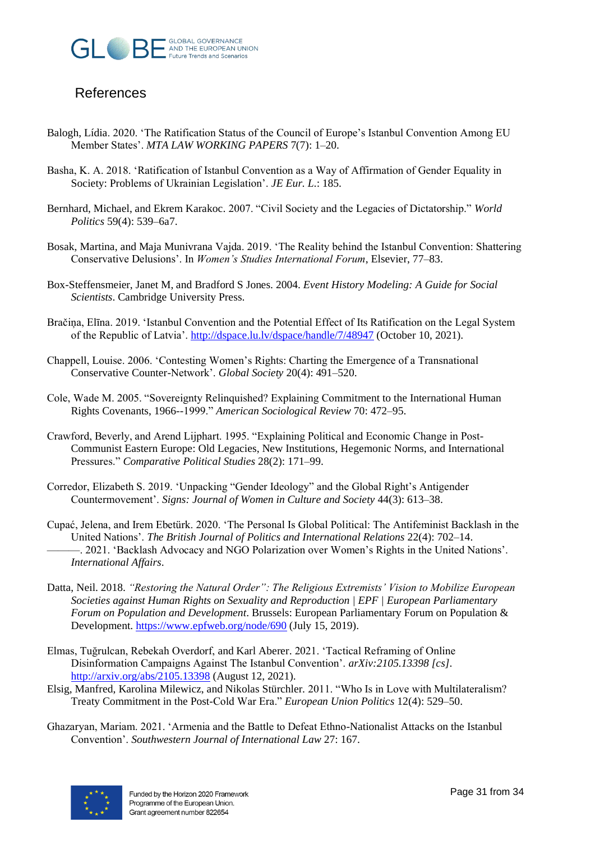

### **References**

- Balogh, Lídia. 2020. 'The Ratification Status of the Council of Europe's Istanbul Convention Among EU Member States'. *MTA LAW WORKING PAPERS* 7(7): 1–20.
- Basha, K. A. 2018. 'Ratification of Istanbul Convention as a Way of Affirmation of Gender Equality in Society: Problems of Ukrainian Legislation'. *JE Eur. L.*: 185.
- Bernhard, Michael, and Ekrem Karakoc. 2007. "Civil Society and the Legacies of Dictatorship." *World Politics* 59(4): 539–6a7.
- Bosak, Martina, and Maja Munivrana Vajda. 2019. 'The Reality behind the Istanbul Convention: Shattering Conservative Delusions'. In *Women's Studies International Forum*, Elsevier, 77–83.
- Box-Steffensmeier, Janet M, and Bradford S Jones. 2004. *Event History Modeling: A Guide for Social Scientists*. Cambridge University Press.
- Bračiņa, Elīna. 2019. 'Istanbul Convention and the Potential Effect of Its Ratification on the Legal System of the Republic of Latvia'[. http://dspace.lu.lv/dspace/handle/7/48947](http://dspace.lu.lv/dspace/handle/7/48947) (October 10, 2021).
- Chappell, Louise. 2006. 'Contesting Women's Rights: Charting the Emergence of a Transnational Conservative Counter-Network'. *Global Society* 20(4): 491–520.
- Cole, Wade M. 2005. "Sovereignty Relinquished? Explaining Commitment to the International Human Rights Covenants, 1966--1999." *American Sociological Review* 70: 472–95.
- Crawford, Beverly, and Arend Lijphart. 1995. "Explaining Political and Economic Change in Post-Communist Eastern Europe: Old Legacies, New Institutions, Hegemonic Norms, and International Pressures." *Comparative Political Studies* 28(2): 171–99.
- Corredor, Elizabeth S. 2019. 'Unpacking "Gender Ideology" and the Global Right's Antigender Countermovement'. *Signs: Journal of Women in Culture and Society* 44(3): 613–38.
- Cupać, Jelena, and Irem Ebetürk. 2020. 'The Personal Is Global Political: The Antifeminist Backlash in the United Nations'. *The British Journal of Politics and International Relations* 22(4): 702–14. ———. 2021. 'Backlash Advocacy and NGO Polarization over Women's Rights in the United Nations'. *International Affairs*.
- Datta, Neil. 2018. *"Restoring the Natural Order": The Religious Extremists' Vision to Mobilize European Societies against Human Rights on Sexuality and Reproduction | EPF | European Parliamentary Forum on Population and Development*. Brussels: European Parliamentary Forum on Population & Development[. https://www.epfweb.org/node/690](https://www.epfweb.org/node/690) (July 15, 2019).
- Elmas, Tuğrulcan, Rebekah Overdorf, and Karl Aberer. 2021. 'Tactical Reframing of Online Disinformation Campaigns Against The Istanbul Convention'. *arXiv:2105.13398 [cs]*. <http://arxiv.org/abs/2105.13398> (August 12, 2021).
- Elsig, Manfred, Karolina Milewicz, and Nikolas Stürchler. 2011. "Who Is in Love with Multilateralism? Treaty Commitment in the Post-Cold War Era." *European Union Politics* 12(4): 529–50.
- Ghazaryan, Mariam. 2021. 'Armenia and the Battle to Defeat Ethno-Nationalist Attacks on the Istanbul Convention'. *Southwestern Journal of International Law* 27: 167.

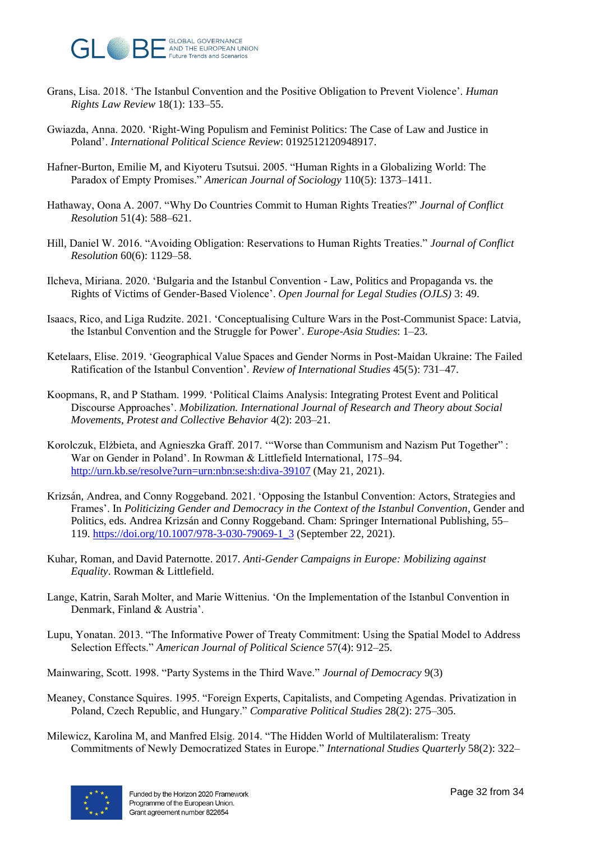

- Grans, Lisa. 2018. 'The Istanbul Convention and the Positive Obligation to Prevent Violence'. *Human Rights Law Review* 18(1): 133–55.
- Gwiazda, Anna. 2020. 'Right-Wing Populism and Feminist Politics: The Case of Law and Justice in Poland'. *International Political Science Review*: 0192512120948917.
- Hafner-Burton, Emilie M, and Kiyoteru Tsutsui. 2005. "Human Rights in a Globalizing World: The Paradox of Empty Promises." *American Journal of Sociology* 110(5): 1373–1411.
- Hathaway, Oona A. 2007. "Why Do Countries Commit to Human Rights Treaties?" *Journal of Conflict Resolution* 51(4): 588–621.
- Hill, Daniel W. 2016. "Avoiding Obligation: Reservations to Human Rights Treaties." *Journal of Conflict Resolution* 60(6): 1129–58.
- Ilcheva, Miriana. 2020. 'Bulgaria and the Istanbul Convention Law, Politics and Propaganda vs. the Rights of Victims of Gender-Based Violence'. *Open Journal for Legal Studies (OJLS)* 3: 49.
- Isaacs, Rico, and Liga Rudzite. 2021. 'Conceptualising Culture Wars in the Post-Communist Space: Latvia, the Istanbul Convention and the Struggle for Power'. *Europe-Asia Studies*: 1–23.
- Ketelaars, Elise. 2019. 'Geographical Value Spaces and Gender Norms in Post-Maidan Ukraine: The Failed Ratification of the Istanbul Convention'. *Review of International Studies* 45(5): 731–47.
- Koopmans, R, and P Statham. 1999. 'Political Claims Analysis: Integrating Protest Event and Political Discourse Approaches'. *Mobilization. International Journal of Research and Theory about Social Movements, Protest and Collective Behavior* 4(2): 203–21.
- Korolczuk, Elżbieta, and Agnieszka Graff. 2017. '"Worse than Communism and Nazism Put Together" : War on Gender in Poland'. In Rowman & Littlefield International, 175–94. <http://urn.kb.se/resolve?urn=urn:nbn:se:sh:diva-39107> (May 21, 2021).
- Krizsán, Andrea, and Conny Roggeband. 2021. 'Opposing the Istanbul Convention: Actors, Strategies and Frames'. In *Politicizing Gender and Democracy in the Context of the Istanbul Convention*, Gender and Politics, eds. Andrea Krizsán and Conny Roggeband. Cham: Springer International Publishing, 55– 119. [https://doi.org/10.1007/978-3-030-79069-1\\_3](https://doi.org/10.1007/978-3-030-79069-1_3) (September 22, 2021).
- Kuhar, Roman, and David Paternotte. 2017. *Anti-Gender Campaigns in Europe: Mobilizing against Equality*. Rowman & Littlefield.
- Lange, Katrin, Sarah Molter, and Marie Wittenius. 'On the Implementation of the Istanbul Convention in Denmark, Finland & Austria'.
- Lupu, Yonatan. 2013. "The Informative Power of Treaty Commitment: Using the Spatial Model to Address Selection Effects." *American Journal of Political Science* 57(4): 912–25.
- Mainwaring, Scott. 1998. "Party Systems in the Third Wave." *Journal of Democracy* 9(3)
- Meaney, Constance Squires. 1995. "Foreign Experts, Capitalists, and Competing Agendas. Privatization in Poland, Czech Republic, and Hungary." *Comparative Political Studies* 28(2): 275–305.
- Milewicz, Karolina M, and Manfred Elsig. 2014. "The Hidden World of Multilateralism: Treaty Commitments of Newly Democratized States in Europe." *International Studies Quarterly* 58(2): 322–

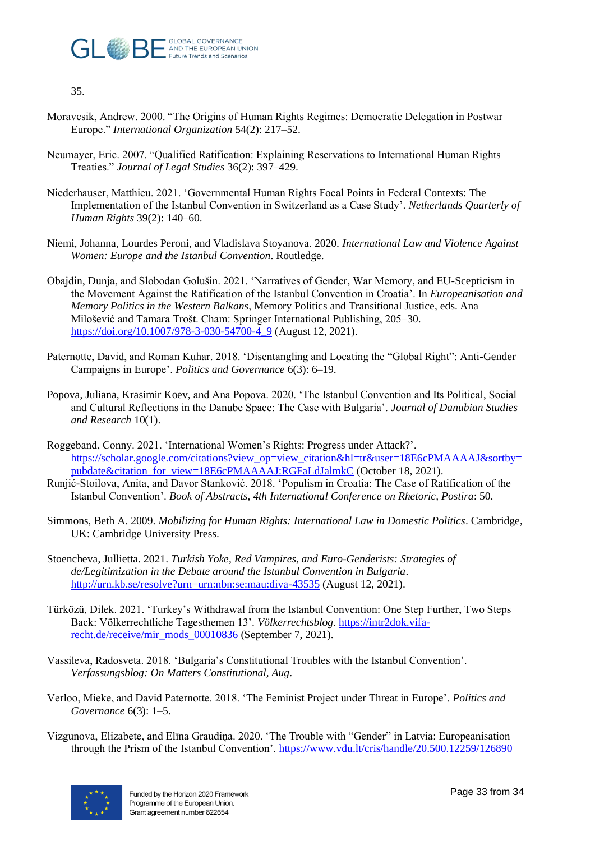

35.

- Moravcsik, Andrew. 2000. "The Origins of Human Rights Regimes: Democratic Delegation in Postwar Europe." *International Organization* 54(2): 217–52.
- Neumayer, Eric. 2007. "Qualified Ratification: Explaining Reservations to International Human Rights Treaties." *Journal of Legal Studies* 36(2): 397–429.
- Niederhauser, Matthieu. 2021. 'Governmental Human Rights Focal Points in Federal Contexts: The Implementation of the Istanbul Convention in Switzerland as a Case Study'. *Netherlands Quarterly of Human Rights* 39(2): 140–60.
- Niemi, Johanna, Lourdes Peroni, and Vladislava Stoyanova. 2020. *International Law and Violence Against Women: Europe and the Istanbul Convention*. Routledge.
- Obajdin, Dunja, and Slobodan Golušin. 2021. 'Narratives of Gender, War Memory, and EU-Scepticism in the Movement Against the Ratification of the Istanbul Convention in Croatia'. In *Europeanisation and Memory Politics in the Western Balkans*, Memory Politics and Transitional Justice, eds. Ana Milošević and Tamara Trošt. Cham: Springer International Publishing, 205–30. [https://doi.org/10.1007/978-3-030-54700-4\\_9](https://doi.org/10.1007/978-3-030-54700-4_9) (August 12, 2021).
- Paternotte, David, and Roman Kuhar. 2018. 'Disentangling and Locating the "Global Right": Anti-Gender Campaigns in Europe'. *Politics and Governance* 6(3): 6–19.
- Popova, Juliana, Krasimir Koev, and Ana Popova. 2020. 'The Istanbul Convention and Its Political, Social and Cultural Reflections in the Danube Space: The Case with Bulgaria'. *Journal of Danubian Studies and Research* 10(1).
- Roggeband, Conny. 2021. 'International Women's Rights: Progress under Attack?'. [https://scholar.google.com/citations?view\\_op=view\\_citation&hl=tr&user=18E6cPMAAAAJ&sortby=](https://scholar.google.com/citations?view_op=view_citation&hl=tr&user=18E6cPMAAAAJ&sortby=pubdate&citation_for_view=18E6cPMAAAAJ:RGFaLdJalmkC) [pubdate&citation\\_for\\_view=18E6cPMAAAAJ:RGFaLdJalmkC](https://scholar.google.com/citations?view_op=view_citation&hl=tr&user=18E6cPMAAAAJ&sortby=pubdate&citation_for_view=18E6cPMAAAAJ:RGFaLdJalmkC) (October 18, 2021).
- Runjić-Stoilova, Anita, and Davor Stanković. 2018. 'Populism in Croatia: The Case of Ratification of the Istanbul Convention'. *Book of Abstracts, 4th International Conference on Rhetoric, Postira*: 50.
- Simmons, Beth A. 2009. *Mobilizing for Human Rights: International Law in Domestic Politics*. Cambridge, UK: Cambridge University Press.
- Stoencheva, Jullietta. 2021. *Turkish Yoke, Red Vampires, and Euro-Genderists: Strategies of de/Legitimization in the Debate around the Istanbul Convention in Bulgaria*. <http://urn.kb.se/resolve?urn=urn:nbn:se:mau:diva-43535> (August 12, 2021).
- Türközü, Dilek. 2021. 'Turkey's Withdrawal from the Istanbul Convention: One Step Further, Two Steps Back: Völkerrechtliche Tagesthemen 13'. *Völkerrechtsblog*. [https://intr2dok.vifa](https://intr2dok.vifa-recht.de/receive/mir_mods_00010836)[recht.de/receive/mir\\_mods\\_00010836](https://intr2dok.vifa-recht.de/receive/mir_mods_00010836) (September 7, 2021).
- Vassileva, Radosveta. 2018. 'Bulgaria's Constitutional Troubles with the Istanbul Convention'. *Verfassungsblog: On Matters Constitutional, Aug*.
- Verloo, Mieke, and David Paternotte. 2018. 'The Feminist Project under Threat in Europe'. *Politics and Governance* 6(3): 1–5.
- Vizgunova, Elizabete, and Elīna Graudiņa. 2020. 'The Trouble with "Gender" in Latvia: Europeanisation through the Prism of the Istanbul Convention'.<https://www.vdu.lt/cris/handle/20.500.12259/126890>